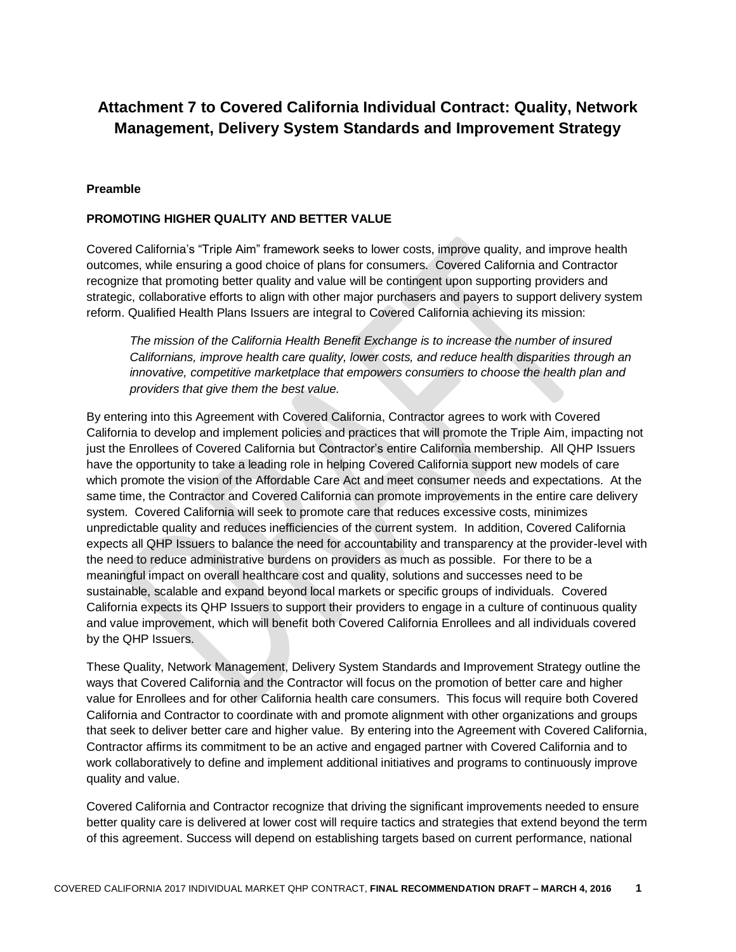# **Attachment 7 to Covered California Individual Contract: Quality, Network Management, Delivery System Standards and Improvement Strategy**

#### **Preamble**

#### **PROMOTING HIGHER QUALITY AND BETTER VALUE**

Covered California's "Triple Aim" framework seeks to lower costs, improve quality, and improve health outcomes, while ensuring a good choice of plans for consumers. Covered California and Contractor recognize that promoting better quality and value will be contingent upon supporting providers and strategic, collaborative efforts to align with other major purchasers and payers to support delivery system reform. Qualified Health Plans Issuers are integral to Covered California achieving its mission:

*The mission of the California Health Benefit Exchange is to increase the number of insured Californians, improve health care quality, lower costs, and reduce health disparities through an innovative, competitive marketplace that empowers consumers to choose the health plan and providers that give them the best value.*

By entering into this Agreement with Covered California, Contractor agrees to work with Covered California to develop and implement policies and practices that will promote the Triple Aim, impacting not just the Enrollees of Covered California but Contractor's entire California membership. All QHP Issuers have the opportunity to take a leading role in helping Covered California support new models of care which promote the vision of the Affordable Care Act and meet consumer needs and expectations. At the same time, the Contractor and Covered California can promote improvements in the entire care delivery system. Covered California will seek to promote care that reduces excessive costs, minimizes unpredictable quality and reduces inefficiencies of the current system. In addition, Covered California expects all QHP Issuers to balance the need for accountability and transparency at the provider-level with the need to reduce administrative burdens on providers as much as possible. For there to be a meaningful impact on overall healthcare cost and quality, solutions and successes need to be sustainable, scalable and expand beyond local markets or specific groups of individuals. Covered California expects its QHP Issuers to support their providers to engage in a culture of continuous quality and value improvement, which will benefit both Covered California Enrollees and all individuals covered by the QHP Issuers.

These Quality, Network Management, Delivery System Standards and Improvement Strategy outline the ways that Covered California and the Contractor will focus on the promotion of better care and higher value for Enrollees and for other California health care consumers. This focus will require both Covered California and Contractor to coordinate with and promote alignment with other organizations and groups that seek to deliver better care and higher value. By entering into the Agreement with Covered California, Contractor affirms its commitment to be an active and engaged partner with Covered California and to work collaboratively to define and implement additional initiatives and programs to continuously improve quality and value.

Covered California and Contractor recognize that driving the significant improvements needed to ensure better quality care is delivered at lower cost will require tactics and strategies that extend beyond the term of this agreement. Success will depend on establishing targets based on current performance, national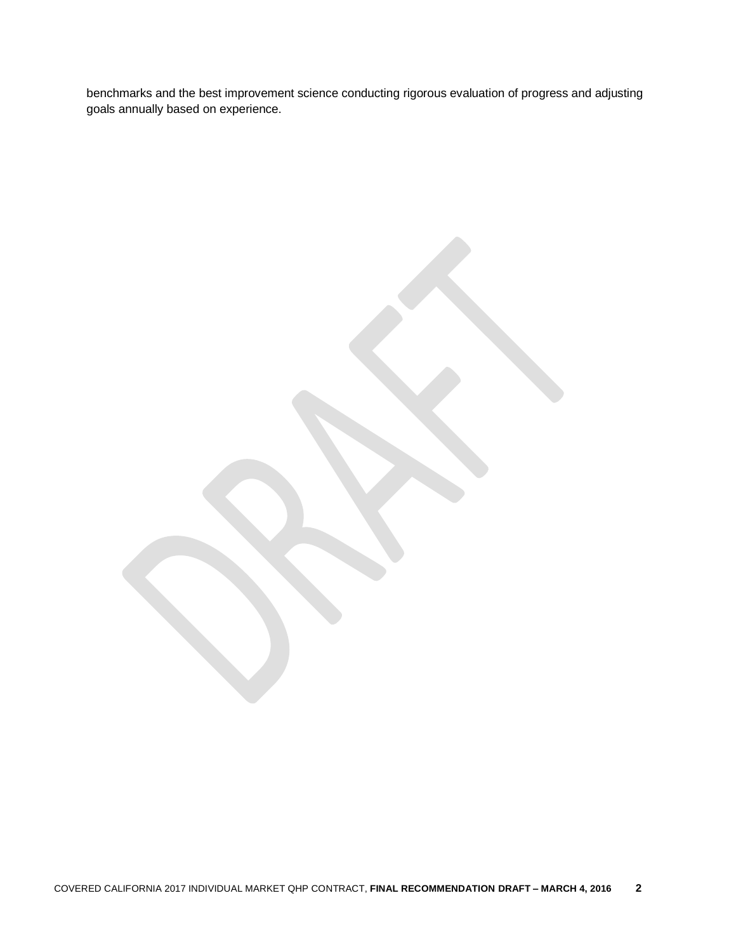benchmarks and the best improvement science conducting rigorous evaluation of progress and adjusting goals annually based on experience.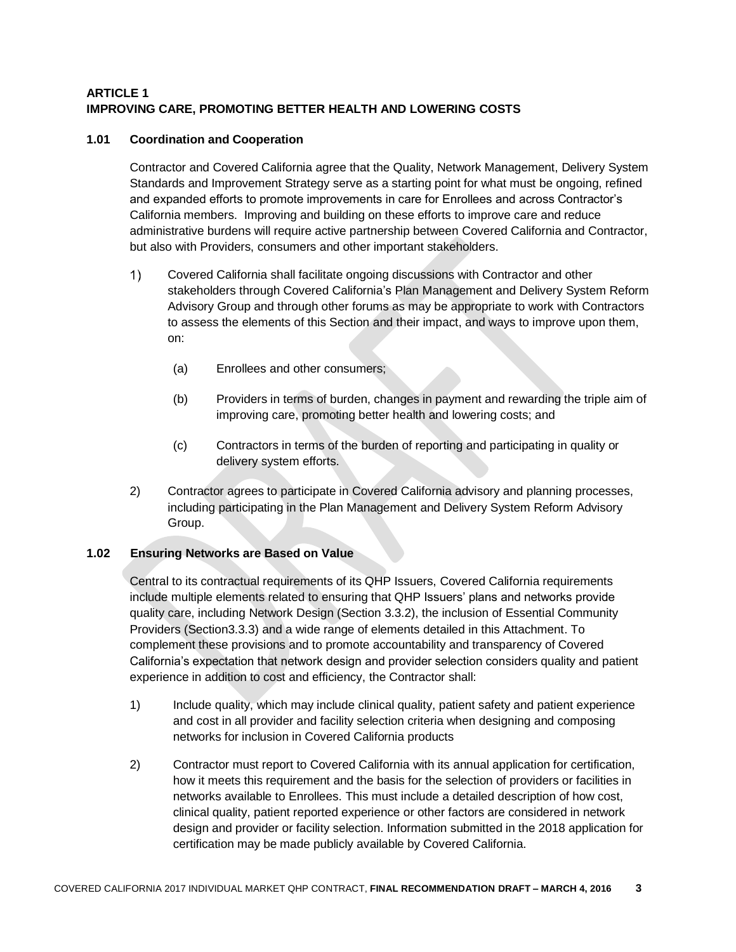### **ARTICLE 1 IMPROVING CARE, PROMOTING BETTER HEALTH AND LOWERING COSTS**

### **1.01 Coordination and Cooperation**

Contractor and Covered California agree that the Quality, Network Management, Delivery System Standards and Improvement Strategy serve as a starting point for what must be ongoing, refined and expanded efforts to promote improvements in care for Enrollees and across Contractor's California members. Improving and building on these efforts to improve care and reduce administrative burdens will require active partnership between Covered California and Contractor, but also with Providers, consumers and other important stakeholders.

- Covered California shall facilitate ongoing discussions with Contractor and other  $\left( \begin{matrix} 1 \end{matrix} \right)$ stakeholders through Covered California's Plan Management and Delivery System Reform Advisory Group and through other forums as may be appropriate to work with Contractors to assess the elements of this Section and their impact, and ways to improve upon them, on:
	- (a) Enrollees and other consumers;
	- (b) Providers in terms of burden, changes in payment and rewarding the triple aim of improving care, promoting better health and lowering costs; and
	- (c) Contractors in terms of the burden of reporting and participating in quality or delivery system efforts.
- 2) Contractor agrees to participate in Covered California advisory and planning processes, including participating in the Plan Management and Delivery System Reform Advisory Group.

#### **1.02 Ensuring Networks are Based on Value**

Central to its contractual requirements of its QHP Issuers, Covered California requirements include multiple elements related to ensuring that QHP Issuers' plans and networks provide quality care, including Network Design (Section 3.3.2), the inclusion of Essential Community Providers (Section3.3.3) and a wide range of elements detailed in this Attachment. To complement these provisions and to promote accountability and transparency of Covered California's expectation that network design and provider selection considers quality and patient experience in addition to cost and efficiency, the Contractor shall:

- 1) Include quality, which may include clinical quality, patient safety and patient experience and cost in all provider and facility selection criteria when designing and composing networks for inclusion in Covered California products
- 2) Contractor must report to Covered California with its annual application for certification, how it meets this requirement and the basis for the selection of providers or facilities in networks available to Enrollees. This must include a detailed description of how cost, clinical quality, patient reported experience or other factors are considered in network design and provider or facility selection. Information submitted in the 2018 application for certification may be made publicly available by Covered California.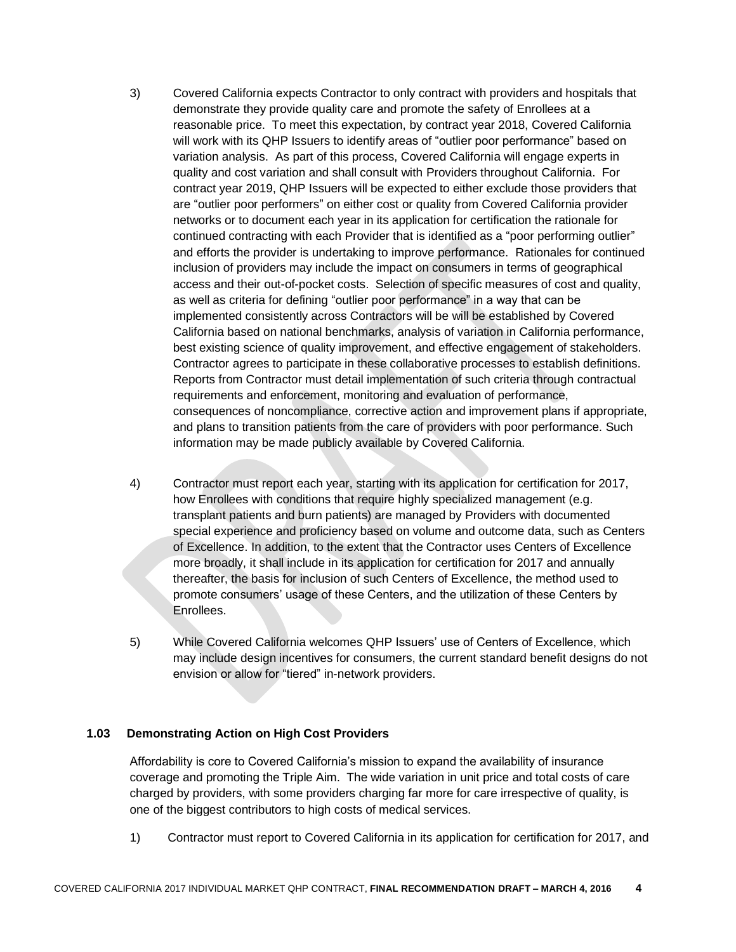- 3) Covered California expects Contractor to only contract with providers and hospitals that demonstrate they provide quality care and promote the safety of Enrollees at a reasonable price. To meet this expectation, by contract year 2018, Covered California will work with its QHP Issuers to identify areas of "outlier poor performance" based on variation analysis. As part of this process, Covered California will engage experts in quality and cost variation and shall consult with Providers throughout California. For contract year 2019, QHP Issuers will be expected to either exclude those providers that are "outlier poor performers" on either cost or quality from Covered California provider networks or to document each year in its application for certification the rationale for continued contracting with each Provider that is identified as a "poor performing outlier" and efforts the provider is undertaking to improve performance. Rationales for continued inclusion of providers may include the impact on consumers in terms of geographical access and their out-of-pocket costs. Selection of specific measures of cost and quality, as well as criteria for defining "outlier poor performance" in a way that can be implemented consistently across Contractors will be will be established by Covered California based on national benchmarks, analysis of variation in California performance, best existing science of quality improvement, and effective engagement of stakeholders. Contractor agrees to participate in these collaborative processes to establish definitions. Reports from Contractor must detail implementation of such criteria through contractual requirements and enforcement, monitoring and evaluation of performance, consequences of noncompliance, corrective action and improvement plans if appropriate, and plans to transition patients from the care of providers with poor performance. Such information may be made publicly available by Covered California.
- 4) Contractor must report each year, starting with its application for certification for 2017, how Enrollees with conditions that require highly specialized management (e.g. transplant patients and burn patients) are managed by Providers with documented special experience and proficiency based on volume and outcome data, such as Centers of Excellence. In addition, to the extent that the Contractor uses Centers of Excellence more broadly, it shall include in its application for certification for 2017 and annually thereafter, the basis for inclusion of such Centers of Excellence, the method used to promote consumers' usage of these Centers, and the utilization of these Centers by Enrollees.
- 5) While Covered California welcomes QHP Issuers' use of Centers of Excellence, which may include design incentives for consumers, the current standard benefit designs do not envision or allow for "tiered" in-network providers.

#### **1.03 Demonstrating Action on High Cost Providers**

Affordability is core to Covered California's mission to expand the availability of insurance coverage and promoting the Triple Aim. The wide variation in unit price and total costs of care charged by providers, with some providers charging far more for care irrespective of quality, is one of the biggest contributors to high costs of medical services.

1) Contractor must report to Covered California in its application for certification for 2017, and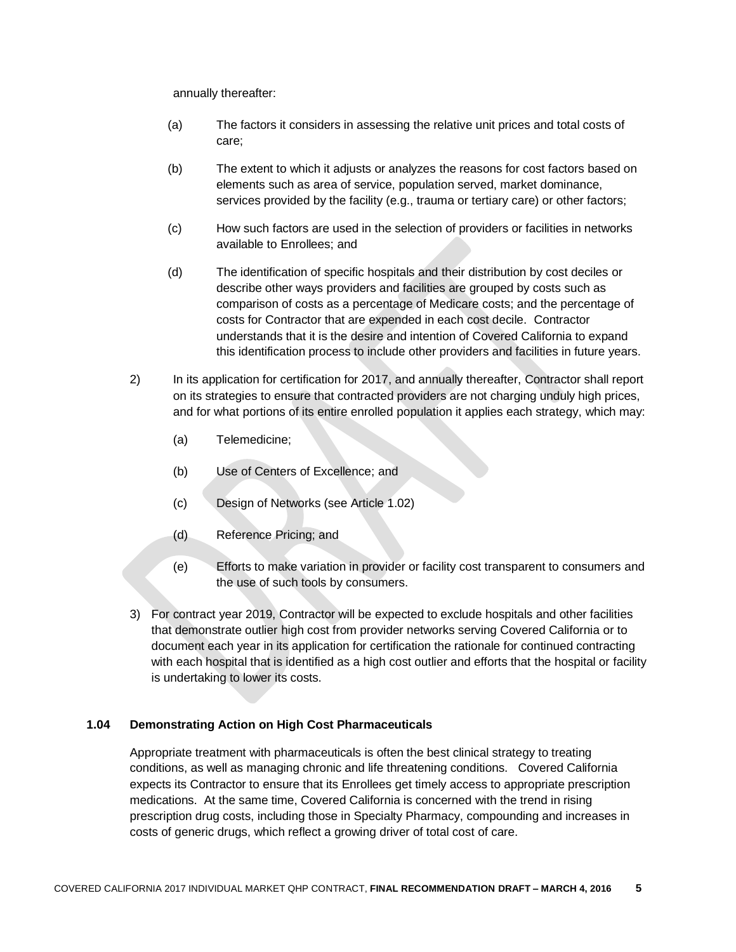annually thereafter:

- (a) The factors it considers in assessing the relative unit prices and total costs of care;
- (b) The extent to which it adjusts or analyzes the reasons for cost factors based on elements such as area of service, population served, market dominance, services provided by the facility (e.g., trauma or tertiary care) or other factors;
- (c) How such factors are used in the selection of providers or facilities in networks available to Enrollees; and
- (d) The identification of specific hospitals and their distribution by cost deciles or describe other ways providers and facilities are grouped by costs such as comparison of costs as a percentage of Medicare costs; and the percentage of costs for Contractor that are expended in each cost decile. Contractor understands that it is the desire and intention of Covered California to expand this identification process to include other providers and facilities in future years.
- 2) In its application for certification for 2017, and annually thereafter, Contractor shall report on its strategies to ensure that contracted providers are not charging unduly high prices, and for what portions of its entire enrolled population it applies each strategy, which may:
	- (a) Telemedicine;
	- (b) Use of Centers of Excellence; and
	- (c) Design of Networks (see Article 1.02)
	- (d) Reference Pricing; and
	- (e) Efforts to make variation in provider or facility cost transparent to consumers and the use of such tools by consumers.
- 3) For contract year 2019, Contractor will be expected to exclude hospitals and other facilities that demonstrate outlier high cost from provider networks serving Covered California or to document each year in its application for certification the rationale for continued contracting with each hospital that is identified as a high cost outlier and efforts that the hospital or facility is undertaking to lower its costs.

#### **1.04 Demonstrating Action on High Cost Pharmaceuticals**

Appropriate treatment with pharmaceuticals is often the best clinical strategy to treating conditions, as well as managing chronic and life threatening conditions. Covered California expects its Contractor to ensure that its Enrollees get timely access to appropriate prescription medications. At the same time, Covered California is concerned with the trend in rising prescription drug costs, including those in Specialty Pharmacy, compounding and increases in costs of generic drugs, which reflect a growing driver of total cost of care.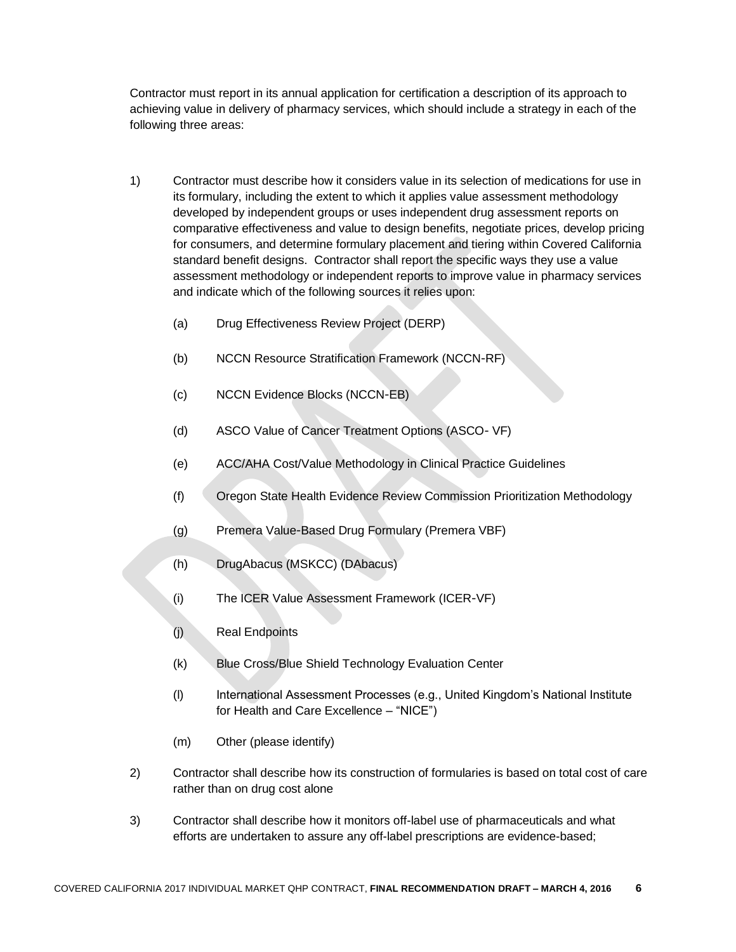Contractor must report in its annual application for certification a description of its approach to achieving value in delivery of pharmacy services, which should include a strategy in each of the following three areas:

- 1) Contractor must describe how it considers value in its selection of medications for use in its formulary, including the extent to which it applies value assessment methodology developed by independent groups or uses independent drug assessment reports on comparative effectiveness and value to design benefits, negotiate prices, develop pricing for consumers, and determine formulary placement and tiering within Covered California standard benefit designs. Contractor shall report the specific ways they use a value assessment methodology or independent reports to improve value in pharmacy services and indicate which of the following sources it relies upon:
	- (a) Drug Effectiveness Review Project (DERP)
	- (b) NCCN Resource Stratification Framework (NCCN‐RF)
	- (c) NCCN Evidence Blocks (NCCN‐EB)
	- (d) ASCO Value of Cancer Treatment Options (ASCO‐ VF)
	- (e) ACC/AHA Cost/Value Methodology in Clinical Practice Guidelines
	- (f) Oregon State Health Evidence Review Commission Prioritization Methodology
	- (g) Premera Value‐Based Drug Formulary (Premera VBF)
	- (h) DrugAbacus (MSKCC) (DAbacus)
	- (i) The ICER Value Assessment Framework (ICER‐VF)
	- (j) Real Endpoints
	- (k) Blue Cross/Blue Shield Technology Evaluation Center
	- (l) International Assessment Processes (e.g., United Kingdom's National Institute for Health and Care Excellence – "NICE")
	- (m) Other (please identify)
- 2) Contractor shall describe how its construction of formularies is based on total cost of care rather than on drug cost alone
- 3) Contractor shall describe how it monitors off-label use of pharmaceuticals and what efforts are undertaken to assure any off-label prescriptions are evidence-based;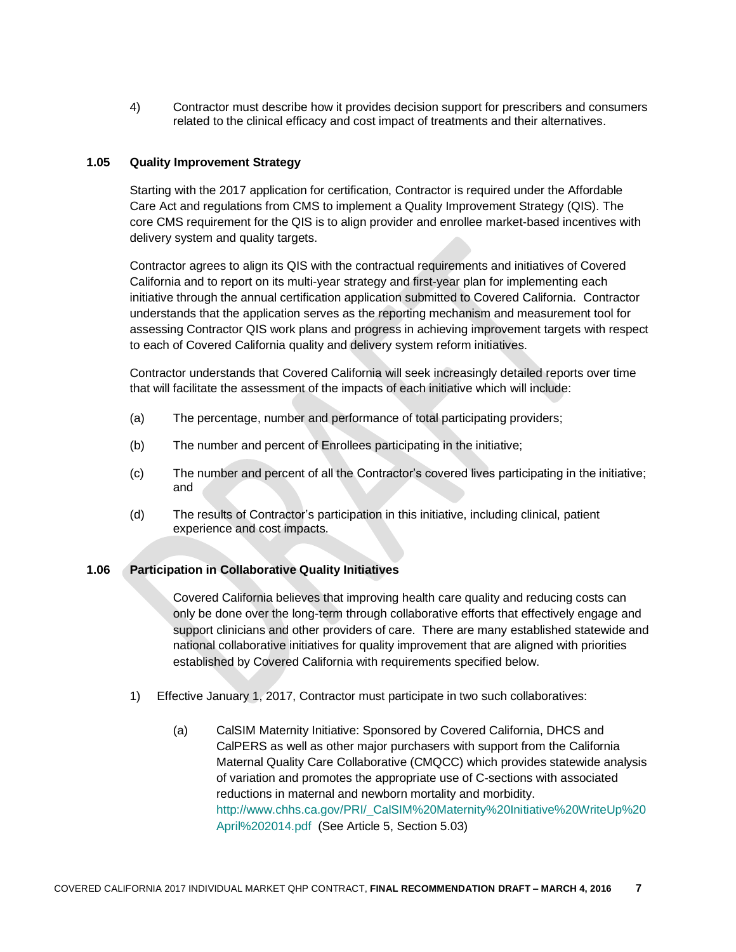4) Contractor must describe how it provides decision support for prescribers and consumers related to the clinical efficacy and cost impact of treatments and their alternatives.

#### **1.05 Quality Improvement Strategy**

Starting with the 2017 application for certification, Contractor is required under the Affordable Care Act and regulations from CMS to implement a Quality Improvement Strategy (QIS). The core CMS requirement for the QIS is to align provider and enrollee market-based incentives with delivery system and quality targets.

Contractor agrees to align its QIS with the contractual requirements and initiatives of Covered California and to report on its multi-year strategy and first-year plan for implementing each initiative through the annual certification application submitted to Covered California. Contractor understands that the application serves as the reporting mechanism and measurement tool for assessing Contractor QIS work plans and progress in achieving improvement targets with respect to each of Covered California quality and delivery system reform initiatives.

Contractor understands that Covered California will seek increasingly detailed reports over time that will facilitate the assessment of the impacts of each initiative which will include:

- (a) The percentage, number and performance of total participating providers;
- (b) The number and percent of Enrollees participating in the initiative;
- (c) The number and percent of all the Contractor's covered lives participating in the initiative; and
- (d) The results of Contractor's participation in this initiative, including clinical, patient experience and cost impacts.

#### **1.06 Participation in Collaborative Quality Initiatives**

Covered California believes that improving health care quality and reducing costs can only be done over the long-term through collaborative efforts that effectively engage and support clinicians and other providers of care. There are many established statewide and national collaborative initiatives for quality improvement that are aligned with priorities established by Covered California with requirements specified below.

- 1) Effective January 1, 2017, Contractor must participate in two such collaboratives:
	- (a) CalSIM Maternity Initiative: Sponsored by Covered California, DHCS and CalPERS as well as other major purchasers with support from the California Maternal Quality Care Collaborative (CMQCC) which provides statewide analysis of variation and promotes the appropriate use of C-sections with associated reductions in maternal and newborn mortality and morbidity. [http://www.chhs.ca.gov/PRI/\\_CalSIM%20Maternity%20Initiative%20WriteUp%20](http://www.chhs.ca.gov/PRI/_CalSIM%20Maternity%20Initiative%20WriteUp%20April%202014.pdf) [April%202014.pdf](http://www.chhs.ca.gov/PRI/_CalSIM%20Maternity%20Initiative%20WriteUp%20April%202014.pdf) (See Article 5, Section 5.03)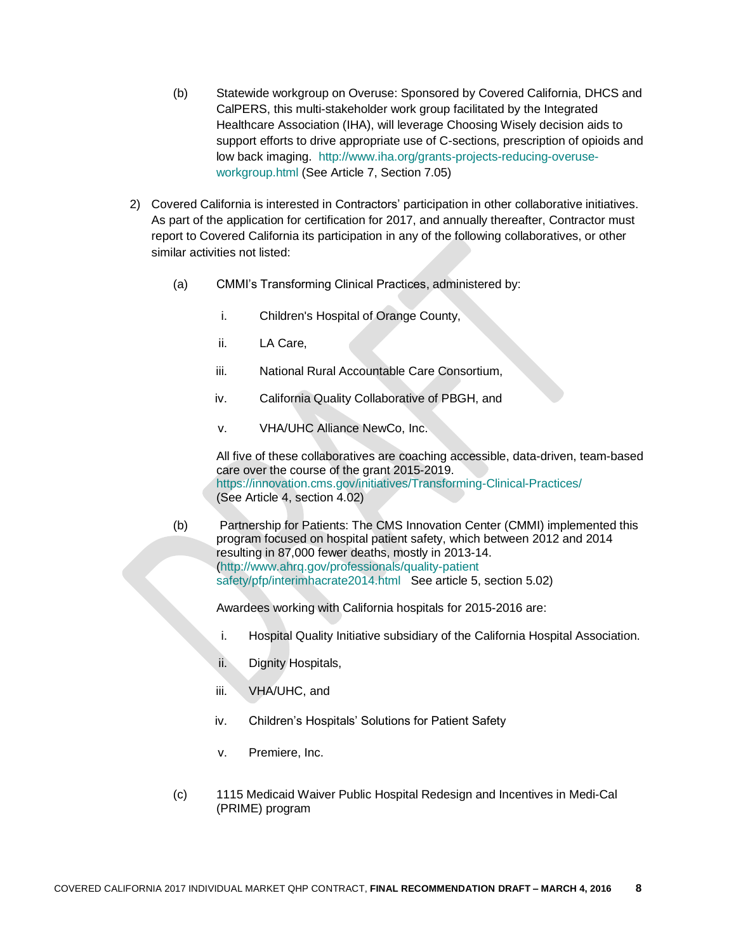- (b) Statewide workgroup on Overuse: Sponsored by Covered California, DHCS and CalPERS, this multi-stakeholder work group facilitated by the Integrated Healthcare Association (IHA), will leverage Choosing Wisely decision aids to support efforts to drive appropriate use of C-sections, prescription of opioids and low back imaging. [http://www.iha.org/grants-projects-reducing-overuse](http://www.iha.org/grants-projects-reducing-overuse-workgroup.html)[workgroup.html](http://www.iha.org/grants-projects-reducing-overuse-workgroup.html) (See Article 7, Section 7.05)
- 2) Covered California is interested in Contractors' participation in other collaborative initiatives. As part of the application for certification for 2017, and annually thereafter, Contractor must report to Covered California its participation in any of the following collaboratives, or other similar activities not listed:
	- (a) CMMI's Transforming Clinical Practices, administered by:
		- i. Children's Hospital of Orange County,
		- ii. LA Care,
		- iii. National Rural Accountable Care Consortium,
		- iv. California Quality Collaborative of PBGH, and
		- v. VHA/UHC Alliance NewCo, Inc.

All five of these collaboratives are coaching accessible, data-driven, team-based care over the course of the grant 2015-2019. <https://innovation.cms.gov/initiatives/Transforming-Clinical-Practices/> (See Article 4, section 4.02)

(b) Partnership for Patients: The CMS Innovation Center (CMMI) implemented this program focused on hospital patient safety, which between 2012 and 2014 resulting in 87,000 fewer deaths, mostly in 2013-14. [\(http://www.ahrq.gov/professionals/quality-patient](http://www.ahrq.gov/professionals/quality-patient%20safety/pfp/interimhacrate2014.html)  [safety/pfp/interimhacrate2014.html](http://www.ahrq.gov/professionals/quality-patient%20safety/pfp/interimhacrate2014.html) See article 5, section 5.02)

Awardees working with California hospitals for 2015-2016 are:

- i. Hospital Quality Initiative subsidiary of the California Hospital Association.
- ii. Dignity Hospitals,
- iii. VHA/UHC, and
- iv. Children's Hospitals' Solutions for Patient Safety
- v. Premiere, Inc.
- (c) 1115 Medicaid Waiver Public Hospital Redesign and Incentives in Medi-Cal (PRIME) program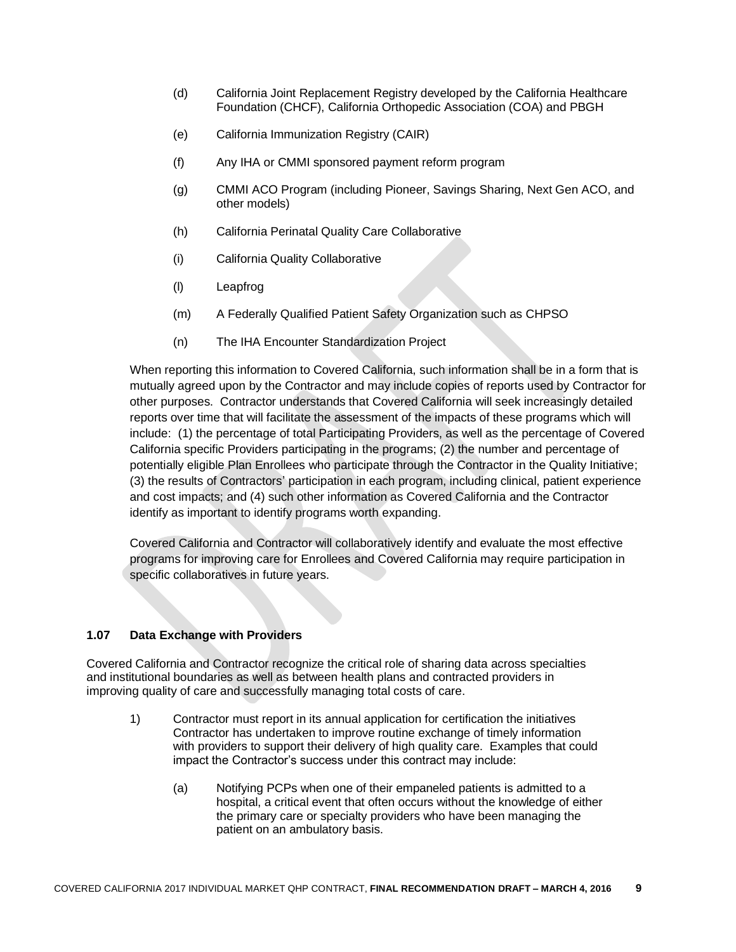- (d) California Joint Replacement Registry developed by the California Healthcare Foundation (CHCF), California Orthopedic Association (COA) and PBGH
- (e) California Immunization Registry (CAIR)
- (f) Any IHA or CMMI sponsored payment reform program
- (g) CMMI ACO Program (including Pioneer, Savings Sharing, Next Gen ACO, and other models)
- (h) California Perinatal Quality Care Collaborative
- (i) California Quality Collaborative
- (l) Leapfrog
- (m) A Federally Qualified Patient Safety Organization such as CHPSO
- (n) The IHA Encounter Standardization Project

When reporting this information to Covered California, such information shall be in a form that is mutually agreed upon by the Contractor and may include copies of reports used by Contractor for other purposes. Contractor understands that Covered California will seek increasingly detailed reports over time that will facilitate the assessment of the impacts of these programs which will include: (1) the percentage of total Participating Providers, as well as the percentage of Covered California specific Providers participating in the programs; (2) the number and percentage of potentially eligible Plan Enrollees who participate through the Contractor in the Quality Initiative; (3) the results of Contractors' participation in each program, including clinical, patient experience and cost impacts; and (4) such other information as Covered California and the Contractor identify as important to identify programs worth expanding.

Covered California and Contractor will collaboratively identify and evaluate the most effective programs for improving care for Enrollees and Covered California may require participation in specific collaboratives in future years.

#### **1.07 Data Exchange with Providers**

Covered California and Contractor recognize the critical role of sharing data across specialties and institutional boundaries as well as between health plans and contracted providers in improving quality of care and successfully managing total costs of care.

- 1) Contractor must report in its annual application for certification the initiatives Contractor has undertaken to improve routine exchange of timely information with providers to support their delivery of high quality care. Examples that could impact the Contractor's success under this contract may include:
	- (a) Notifying PCPs when one of their empaneled patients is admitted to a hospital, a critical event that often occurs without the knowledge of either the primary care or specialty providers who have been managing the patient on an ambulatory basis.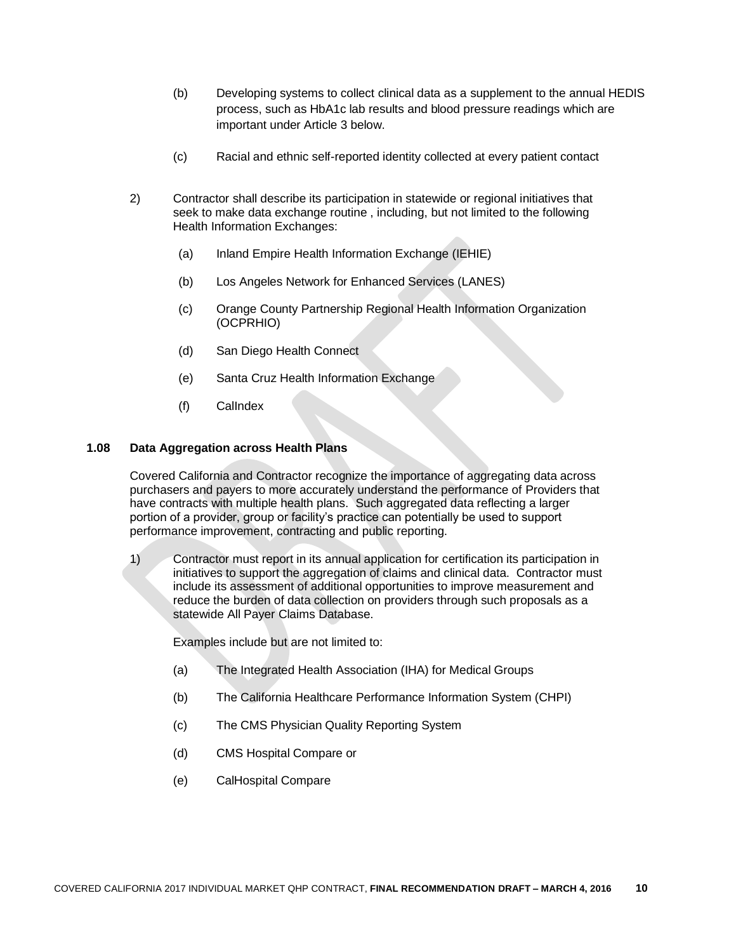- (b) Developing systems to collect clinical data as a supplement to the annual HEDIS process, such as HbA1c lab results and blood pressure readings which are important under Article 3 below.
- (c) Racial and ethnic self-reported identity collected at every patient contact
- 2) Contractor shall describe its participation in statewide or regional initiatives that seek to make data exchange routine , including, but not limited to the following Health Information Exchanges:
	- (a) Inland Empire Health Information Exchange (IEHIE)
	- (b) Los Angeles Network for Enhanced Services (LANES)
	- (c) Orange County Partnership Regional Health Information Organization (OCPRHIO)
	- (d) San Diego Health Connect
	- (e) Santa Cruz Health Information Exchange
	- (f) CalIndex

#### **1.08 Data Aggregation across Health Plans**

Covered California and Contractor recognize the importance of aggregating data across purchasers and payers to more accurately understand the performance of Providers that have contracts with multiple health plans. Such aggregated data reflecting a larger portion of a provider, group or facility's practice can potentially be used to support performance improvement, contracting and public reporting.

1) Contractor must report in its annual application for certification its participation in initiatives to support the aggregation of claims and clinical data. Contractor must include its assessment of additional opportunities to improve measurement and reduce the burden of data collection on providers through such proposals as a statewide All Payer Claims Database.

Examples include but are not limited to:

- (a) The Integrated Health Association (IHA) for Medical Groups
- (b) The California Healthcare Performance Information System (CHPI)
- (c) The CMS Physician Quality Reporting System
- (d) CMS Hospital Compare or
- (e) CalHospital Compare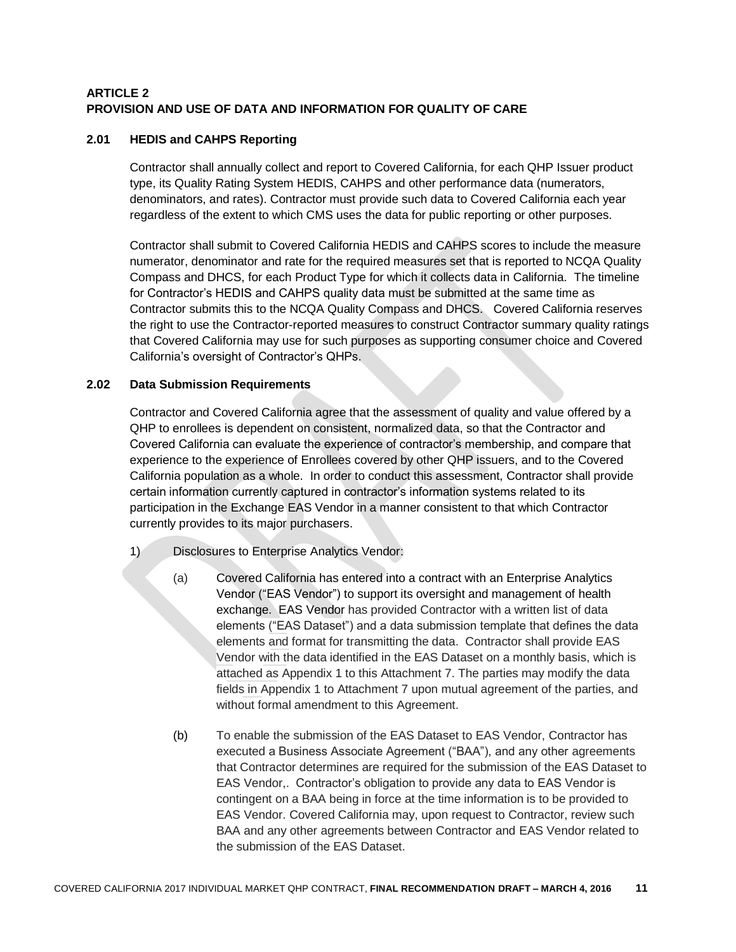### **ARTICLE 2 PROVISION AND USE OF DATA AND INFORMATION FOR QUALITY OF CARE**

### **2.01 HEDIS and CAHPS Reporting**

Contractor shall annually collect and report to Covered California, for each QHP Issuer product type, its Quality Rating System HEDIS, CAHPS and other performance data (numerators, denominators, and rates). Contractor must provide such data to Covered California each year regardless of the extent to which CMS uses the data for public reporting or other purposes.

Contractor shall submit to Covered California HEDIS and CAHPS scores to include the measure numerator, denominator and rate for the required measures set that is reported to NCQA Quality Compass and DHCS, for each Product Type for which it collects data in California. The timeline for Contractor's HEDIS and CAHPS quality data must be submitted at the same time as Contractor submits this to the NCQA Quality Compass and DHCS. Covered California reserves the right to use the Contractor-reported measures to construct Contractor summary quality ratings that Covered California may use for such purposes as supporting consumer choice and Covered California's oversight of Contractor's QHPs.

### **2.02 Data Submission Requirements**

Contractor and Covered California agree that the assessment of quality and value offered by a QHP to enrollees is dependent on consistent, normalized data, so that the Contractor and Covered California can evaluate the experience of contractor's membership, and compare that experience to the experience of Enrollees covered by other QHP issuers, and to the Covered California population as a whole. In order to conduct this assessment, Contractor shall provide certain information currently captured in contractor's information systems related to its participation in the Exchange EAS Vendor in a manner consistent to that which Contractor currently provides to its major purchasers.

- 1) Disclosures to Enterprise Analytics Vendor:
	- (a) Covered California has entered into a contract with an Enterprise Analytics Vendor ("EAS Vendor") to support its oversight and management of health exchange. EAS Vendor has provided Contractor with a written list of data elements ("EAS Dataset") and a data submission template that defines the data elements and format for transmitting the data. Contractor shall provide EAS Vendor with the data identified in the EAS Dataset on a monthly basis, which is attached as Appendix 1 to this Attachment 7. The parties may modify the data fields in Appendix 1 to Attachment 7 upon mutual agreement of the parties, and without formal amendment to this Agreement.
	- (b) To enable the submission of the EAS Dataset to EAS Vendor, Contractor has executed a Business Associate Agreement ("BAA"), and any other agreements that Contractor determines are required for the submission of the EAS Dataset to EAS Vendor,. Contractor's obligation to provide any data to EAS Vendor is contingent on a BAA being in force at the time information is to be provided to EAS Vendor. Covered California may, upon request to Contractor, review such BAA and any other agreements between Contractor and EAS Vendor related to the submission of the EAS Dataset.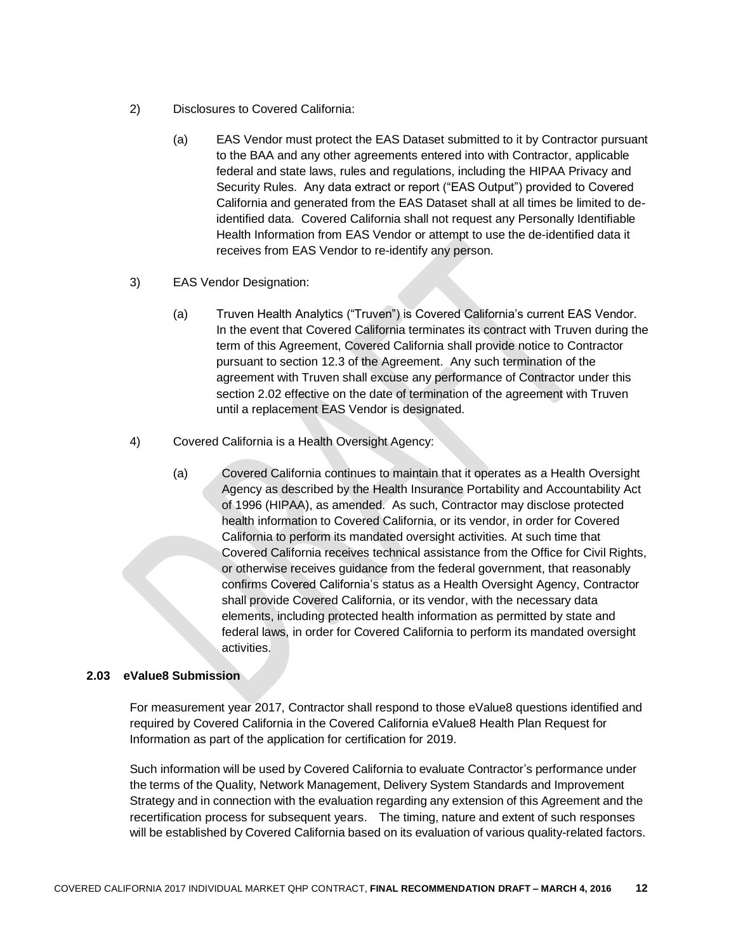- 2) Disclosures to Covered California:
	- (a) EAS Vendor must protect the EAS Dataset submitted to it by Contractor pursuant to the BAA and any other agreements entered into with Contractor, applicable federal and state laws, rules and regulations, including the HIPAA Privacy and Security Rules. Any data extract or report ("EAS Output") provided to Covered California and generated from the EAS Dataset shall at all times be limited to deidentified data. Covered California shall not request any Personally Identifiable Health Information from EAS Vendor or attempt to use the de-identified data it receives from EAS Vendor to re-identify any person.
- 3) EAS Vendor Designation:
	- (a) Truven Health Analytics ("Truven") is Covered California's current EAS Vendor. In the event that Covered California terminates its contract with Truven during the term of this Agreement, Covered California shall provide notice to Contractor pursuant to section 12.3 of the Agreement. Any such termination of the agreement with Truven shall excuse any performance of Contractor under this section 2.02 effective on the date of termination of the agreement with Truven until a replacement EAS Vendor is designated.
- 4) Covered California is a Health Oversight Agency:
	- (a) Covered California continues to maintain that it operates as a Health Oversight Agency as described by the Health Insurance Portability and Accountability Act of 1996 (HIPAA), as amended. As such, Contractor may disclose protected health information to Covered California, or its vendor, in order for Covered California to perform its mandated oversight activities. At such time that Covered California receives technical assistance from the Office for Civil Rights, or otherwise receives guidance from the federal government, that reasonably confirms Covered California's status as a Health Oversight Agency, Contractor shall provide Covered California, or its vendor, with the necessary data elements, including protected health information as permitted by state and federal laws, in order for Covered California to perform its mandated oversight activities.

#### **2.03 eValue8 Submission**

For measurement year 2017, Contractor shall respond to those eValue8 questions identified and required by Covered California in the Covered California eValue8 Health Plan Request for Information as part of the application for certification for 2019.

Such information will be used by Covered California to evaluate Contractor's performance under the terms of the Quality, Network Management, Delivery System Standards and Improvement Strategy and in connection with the evaluation regarding any extension of this Agreement and the recertification process for subsequent years. The timing, nature and extent of such responses will be established by Covered California based on its evaluation of various quality-related factors.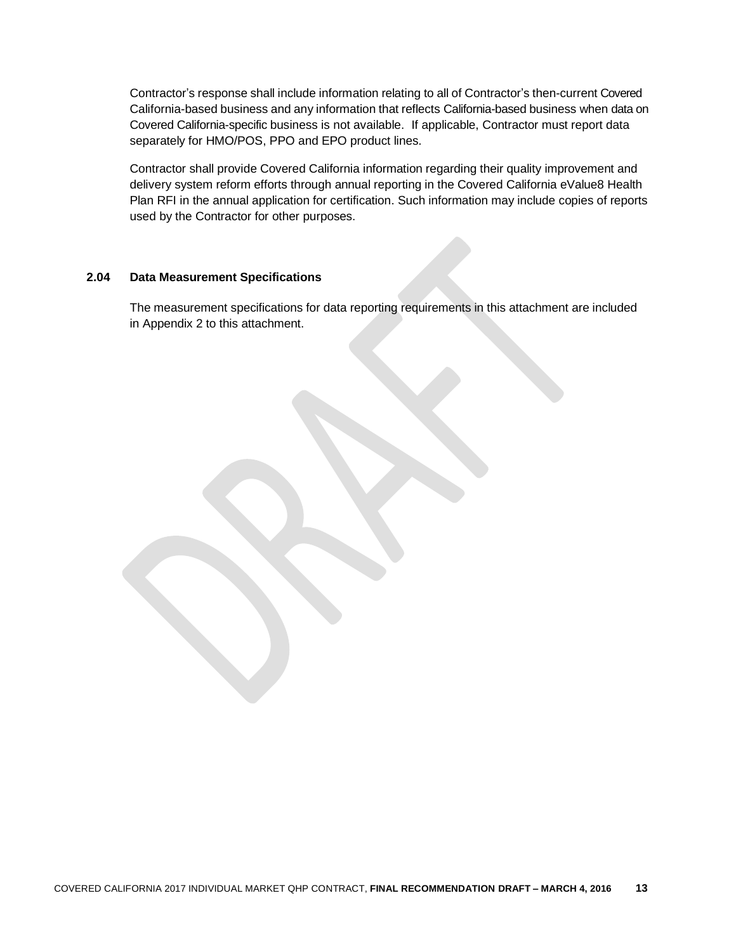Contractor's response shall include information relating to all of Contractor's then-current Covered California-based business and any information that reflects California-based business when data on Covered California-specific business is not available. If applicable, Contractor must report data separately for HMO/POS, PPO and EPO product lines.

Contractor shall provide Covered California information regarding their quality improvement and delivery system reform efforts through annual reporting in the Covered California eValue8 Health Plan RFI in the annual application for certification. Such information may include copies of reports used by the Contractor for other purposes.

#### **2.04 Data Measurement Specifications**

The measurement specifications for data reporting requirements in this attachment are included in Appendix 2 to this attachment.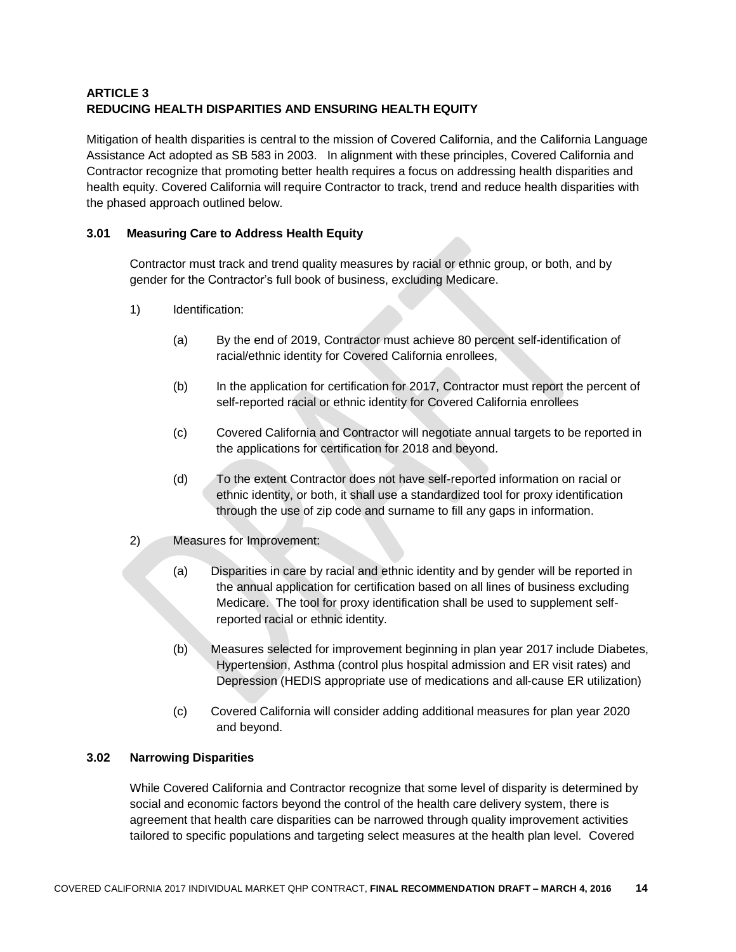# **ARTICLE 3 REDUCING HEALTH DISPARITIES AND ENSURING HEALTH EQUITY**

Mitigation of health disparities is central to the mission of Covered California, and the California Language Assistance Act adopted as SB 583 in 2003. In alignment with these principles, Covered California and Contractor recognize that promoting better health requires a focus on addressing health disparities and health equity. Covered California will require Contractor to track, trend and reduce health disparities with the phased approach outlined below.

### **3.01 Measuring Care to Address Health Equity**

Contractor must track and trend quality measures by racial or ethnic group, or both, and by gender for the Contractor's full book of business, excluding Medicare.

- 1) Identification:
	- (a) By the end of 2019, Contractor must achieve 80 percent self-identification of racial/ethnic identity for Covered California enrollees,
	- (b) In the application for certification for 2017, Contractor must report the percent of self-reported racial or ethnic identity for Covered California enrollees
	- (c) Covered California and Contractor will negotiate annual targets to be reported in the applications for certification for 2018 and beyond.
	- (d) To the extent Contractor does not have self-reported information on racial or ethnic identity, or both, it shall use a standardized tool for proxy identification through the use of zip code and surname to fill any gaps in information.
- 2) Measures for Improvement:
	- (a) Disparities in care by racial and ethnic identity and by gender will be reported in the annual application for certification based on all lines of business excluding Medicare. The tool for proxy identification shall be used to supplement selfreported racial or ethnic identity.
	- (b) Measures selected for improvement beginning in plan year 2017 include Diabetes, Hypertension, Asthma (control plus hospital admission and ER visit rates) and Depression (HEDIS appropriate use of medications and all-cause ER utilization)
	- (c) Covered California will consider adding additional measures for plan year 2020 and beyond.

# **3.02 Narrowing Disparities**

While Covered California and Contractor recognize that some level of disparity is determined by social and economic factors beyond the control of the health care delivery system, there is agreement that health care disparities can be narrowed through quality improvement activities tailored to specific populations and targeting select measures at the health plan level. Covered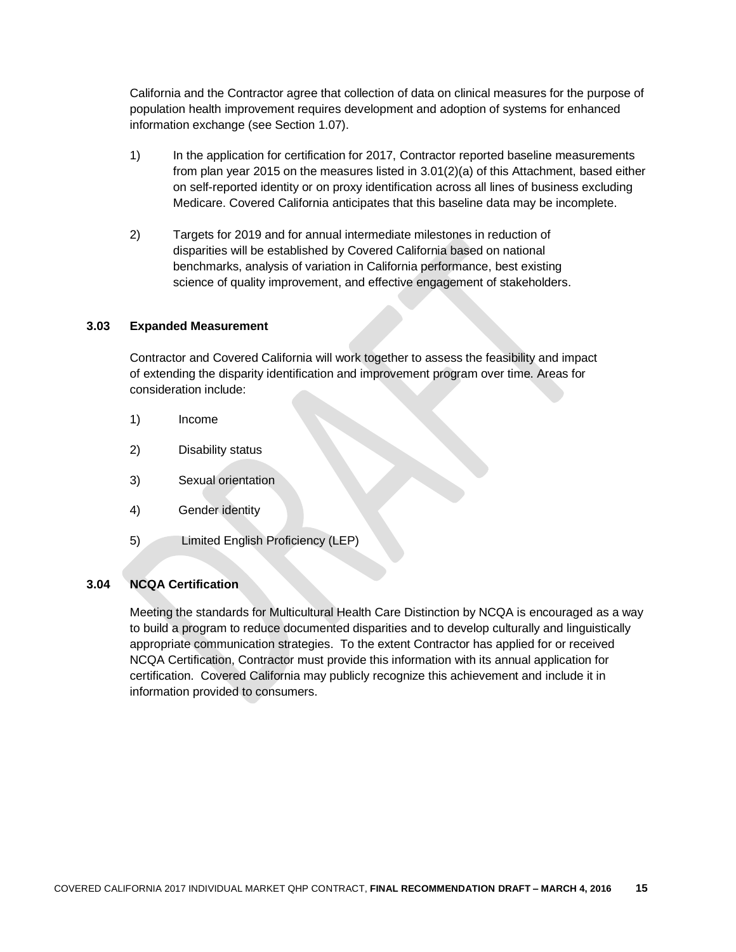California and the Contractor agree that collection of data on clinical measures for the purpose of population health improvement requires development and adoption of systems for enhanced information exchange (see Section 1.07).

- 1) In the application for certification for 2017, Contractor reported baseline measurements from plan year 2015 on the measures listed in 3.01(2)(a) of this Attachment, based either on self-reported identity or on proxy identification across all lines of business excluding Medicare. Covered California anticipates that this baseline data may be incomplete.
- 2) Targets for 2019 and for annual intermediate milestones in reduction of disparities will be established by Covered California based on national benchmarks, analysis of variation in California performance, best existing science of quality improvement, and effective engagement of stakeholders.

#### **3.03 Expanded Measurement**

Contractor and Covered California will work together to assess the feasibility and impact of extending the disparity identification and improvement program over time. Areas for consideration include:

- 1) Income
- 2) Disability status
- 3) Sexual orientation
- 4) Gender identity
- 5) Limited English Proficiency (LEP)

### **3.04 NCQA Certification**

Meeting the standards for Multicultural Health Care Distinction by NCQA is encouraged as a way to build a program to reduce documented disparities and to develop culturally and linguistically appropriate communication strategies. To the extent Contractor has applied for or received NCQA Certification, Contractor must provide this information with its annual application for certification. Covered California may publicly recognize this achievement and include it in information provided to consumers.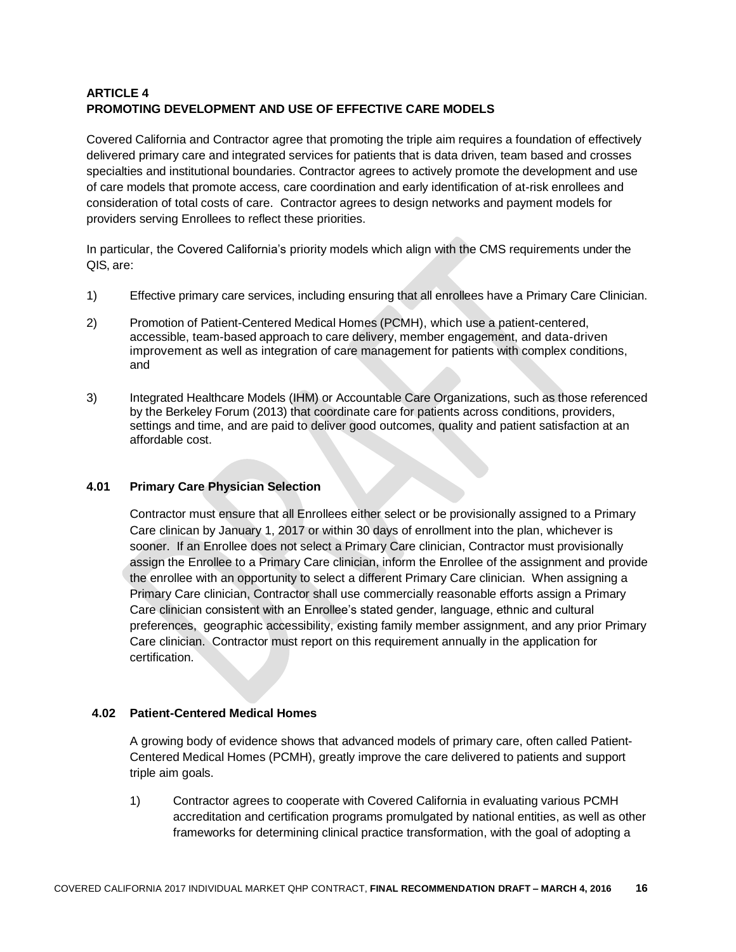# **ARTICLE 4 PROMOTING DEVELOPMENT AND USE OF EFFECTIVE CARE MODELS**

Covered California and Contractor agree that promoting the triple aim requires a foundation of effectively delivered primary care and integrated services for patients that is data driven, team based and crosses specialties and institutional boundaries. Contractor agrees to actively promote the development and use of care models that promote access, care coordination and early identification of at-risk enrollees and consideration of total costs of care. Contractor agrees to design networks and payment models for providers serving Enrollees to reflect these priorities.

In particular, the Covered California's priority models which align with the CMS requirements under the QIS, are:

- 1) Effective primary care services, including ensuring that all enrollees have a Primary Care Clinician.
- 2) Promotion of Patient-Centered Medical Homes (PCMH), which use a patient-centered, accessible, team-based approach to care delivery, member engagement, and data-driven improvement as well as integration of care management for patients with complex conditions, and
- 3) Integrated Healthcare Models (IHM) or Accountable Care Organizations, such as those referenced by the Berkeley Forum (2013) that coordinate care for patients across conditions, providers, settings and time, and are paid to deliver good outcomes, quality and patient satisfaction at an affordable cost.

#### **4.01 Primary Care Physician Selection**

Contractor must ensure that all Enrollees either select or be provisionally assigned to a Primary Care clinican by January 1, 2017 or within 30 days of enrollment into the plan, whichever is sooner. If an Enrollee does not select a Primary Care clinician, Contractor must provisionally assign the Enrollee to a Primary Care clinician, inform the Enrollee of the assignment and provide the enrollee with an opportunity to select a different Primary Care clinician. When assigning a Primary Care clinician, Contractor shall use commercially reasonable efforts assign a Primary Care clinician consistent with an Enrollee's stated gender, language, ethnic and cultural preferences, geographic accessibility, existing family member assignment, and any prior Primary Care clinician. Contractor must report on this requirement annually in the application for certification.

#### **4.02 Patient-Centered Medical Homes**

A growing body of evidence shows that advanced models of primary care, often called Patient-Centered Medical Homes (PCMH), greatly improve the care delivered to patients and support triple aim goals.

1) Contractor agrees to cooperate with Covered California in evaluating various PCMH accreditation and certification programs promulgated by national entities, as well as other frameworks for determining clinical practice transformation, with the goal of adopting a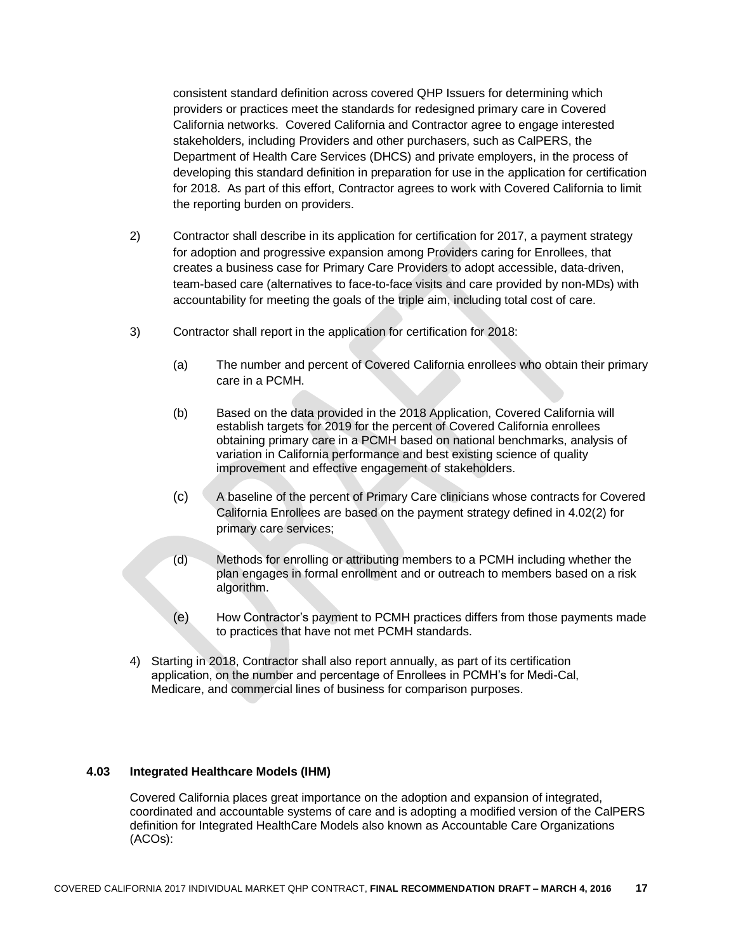consistent standard definition across covered QHP Issuers for determining which providers or practices meet the standards for redesigned primary care in Covered California networks. Covered California and Contractor agree to engage interested stakeholders, including Providers and other purchasers, such as CalPERS, the Department of Health Care Services (DHCS) and private employers, in the process of developing this standard definition in preparation for use in the application for certification for 2018. As part of this effort, Contractor agrees to work with Covered California to limit the reporting burden on providers.

- 2) Contractor shall describe in its application for certification for 2017, a payment strategy for adoption and progressive expansion among Providers caring for Enrollees, that creates a business case for Primary Care Providers to adopt accessible, data-driven, team-based care (alternatives to face-to-face visits and care provided by non-MDs) with accountability for meeting the goals of the triple aim, including total cost of care.
- 3) Contractor shall report in the application for certification for 2018:
	- (a) The number and percent of Covered California enrollees who obtain their primary care in a PCMH.
	- (b) Based on the data provided in the 2018 Application, Covered California will establish targets for 2019 for the percent of Covered California enrollees obtaining primary care in a PCMH based on national benchmarks, analysis of variation in California performance and best existing science of quality improvement and effective engagement of stakeholders.
	- (c) A baseline of the percent of Primary Care clinicians whose contracts for Covered California Enrollees are based on the payment strategy defined in 4.02(2) for primary care services;
	- (d) Methods for enrolling or attributing members to a PCMH including whether the plan engages in formal enrollment and or outreach to members based on a risk algorithm.
	- (e) How Contractor's payment to PCMH practices differs from those payments made to practices that have not met PCMH standards.
- 4) Starting in 2018, Contractor shall also report annually, as part of its certification application, on the number and percentage of Enrollees in PCMH's for Medi-Cal, Medicare, and commercial lines of business for comparison purposes.

#### **4.03 Integrated Healthcare Models (IHM)**

Covered California places great importance on the adoption and expansion of integrated, coordinated and accountable systems of care and is adopting a modified version of the CalPERS definition for Integrated HealthCare Models also known as Accountable Care Organizations (ACOs):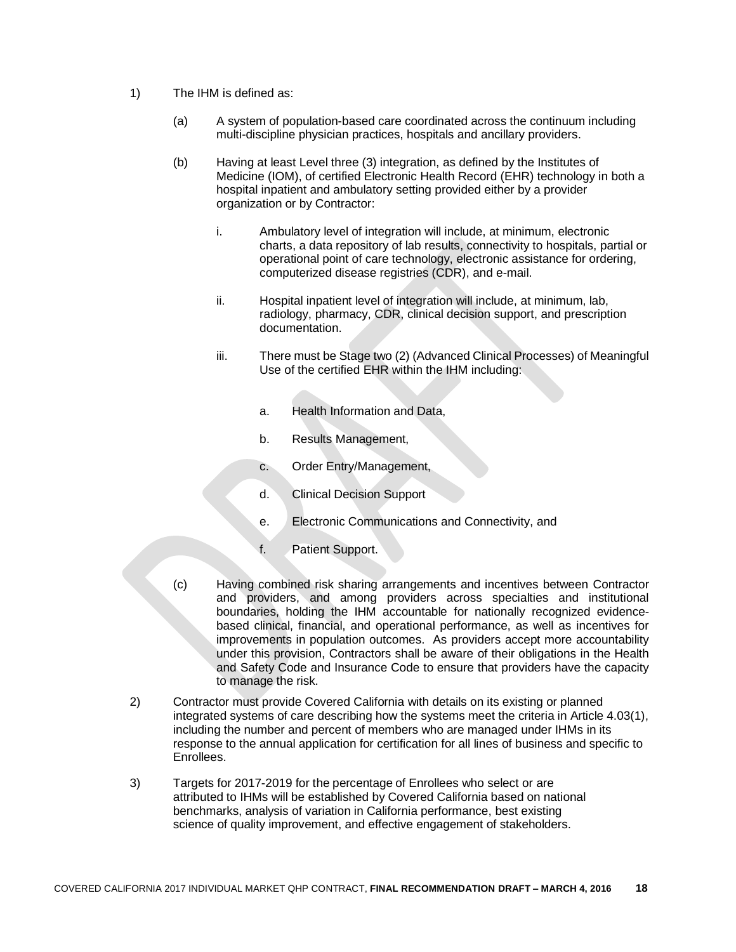- 1) The IHM is defined as:
	- (a) A system of population-based care coordinated across the continuum including multi-discipline physician practices, hospitals and ancillary providers.
	- (b) Having at least Level three (3) integration, as defined by the Institutes of Medicine (IOM), of certified Electronic Health Record (EHR) technology in both a hospital inpatient and ambulatory setting provided either by a provider organization or by Contractor:
		- i. Ambulatory level of integration will include, at minimum, electronic charts, a data repository of lab results, connectivity to hospitals, partial or operational point of care technology, electronic assistance for ordering, computerized disease registries (CDR), and e-mail.
		- ii. Hospital inpatient level of integration will include, at minimum, lab, radiology, pharmacy, CDR, clinical decision support, and prescription documentation.
		- iii. There must be Stage two (2) (Advanced Clinical Processes) of Meaningful Use of the certified EHR within the IHM including:
			- a. Health Information and Data,
			- b. Results Management,
			- c. Order Entry/Management,
			- d. Clinical Decision Support
			- e. Electronic Communications and Connectivity, and
			- f. Patient Support.
	- (c) Having combined risk sharing arrangements and incentives between Contractor and providers, and among providers across specialties and institutional boundaries, holding the IHM accountable for nationally recognized evidencebased clinical, financial, and operational performance, as well as incentives for improvements in population outcomes. As providers accept more accountability under this provision, Contractors shall be aware of their obligations in the Health and Safety Code and Insurance Code to ensure that providers have the capacity to manage the risk.
- 2) Contractor must provide Covered California with details on its existing or planned integrated systems of care describing how the systems meet the criteria in Article 4.03(1), including the number and percent of members who are managed under IHMs in its response to the annual application for certification for all lines of business and specific to Enrollees.
- 3) Targets for 2017-2019 for the percentage of Enrollees who select or are attributed to IHMs will be established by Covered California based on national benchmarks, analysis of variation in California performance, best existing science of quality improvement, and effective engagement of stakeholders.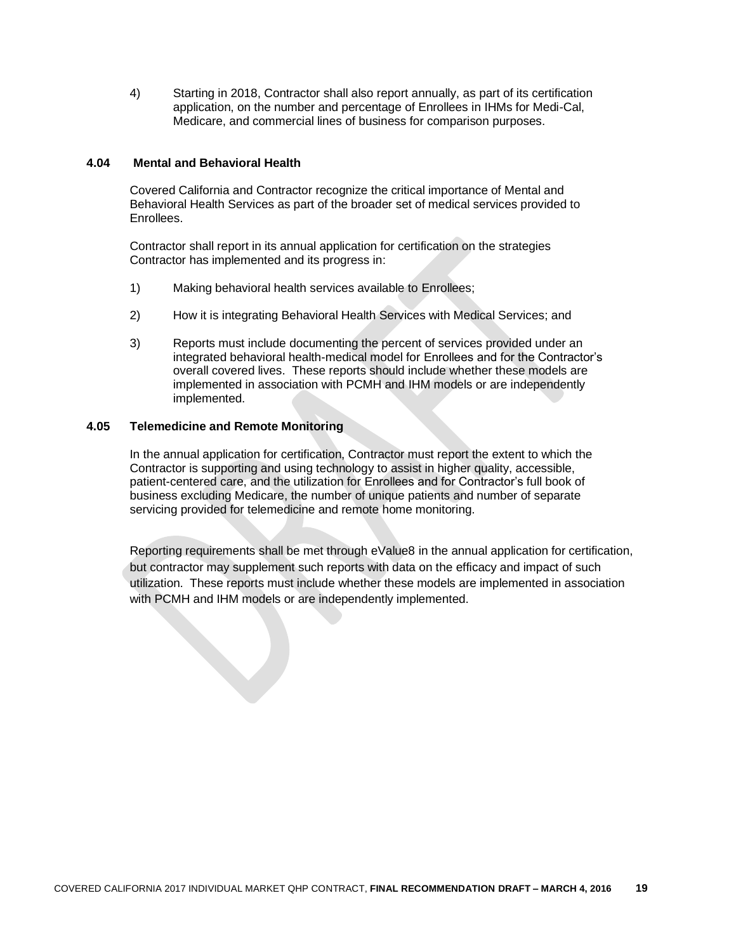4) Starting in 2018, Contractor shall also report annually, as part of its certification application, on the number and percentage of Enrollees in IHMs for Medi-Cal, Medicare, and commercial lines of business for comparison purposes.

#### **4.04 Mental and Behavioral Health**

Covered California and Contractor recognize the critical importance of Mental and Behavioral Health Services as part of the broader set of medical services provided to Enrollees.

Contractor shall report in its annual application for certification on the strategies Contractor has implemented and its progress in:

- 1) Making behavioral health services available to Enrollees;
- 2) How it is integrating Behavioral Health Services with Medical Services; and
- 3) Reports must include documenting the percent of services provided under an integrated behavioral health-medical model for Enrollees and for the Contractor's overall covered lives. These reports should include whether these models are implemented in association with PCMH and IHM models or are independently implemented.

#### **4.05 Telemedicine and Remote Monitoring**

In the annual application for certification, Contractor must report the extent to which the Contractor is supporting and using technology to assist in higher quality, accessible, patient-centered care, and the utilization for Enrollees and for Contractor's full book of business excluding Medicare, the number of unique patients and number of separate servicing provided for telemedicine and remote home monitoring.

Reporting requirements shall be met through eValue8 in the annual application for certification, but contractor may supplement such reports with data on the efficacy and impact of such utilization. These reports must include whether these models are implemented in association with PCMH and IHM models or are independently implemented.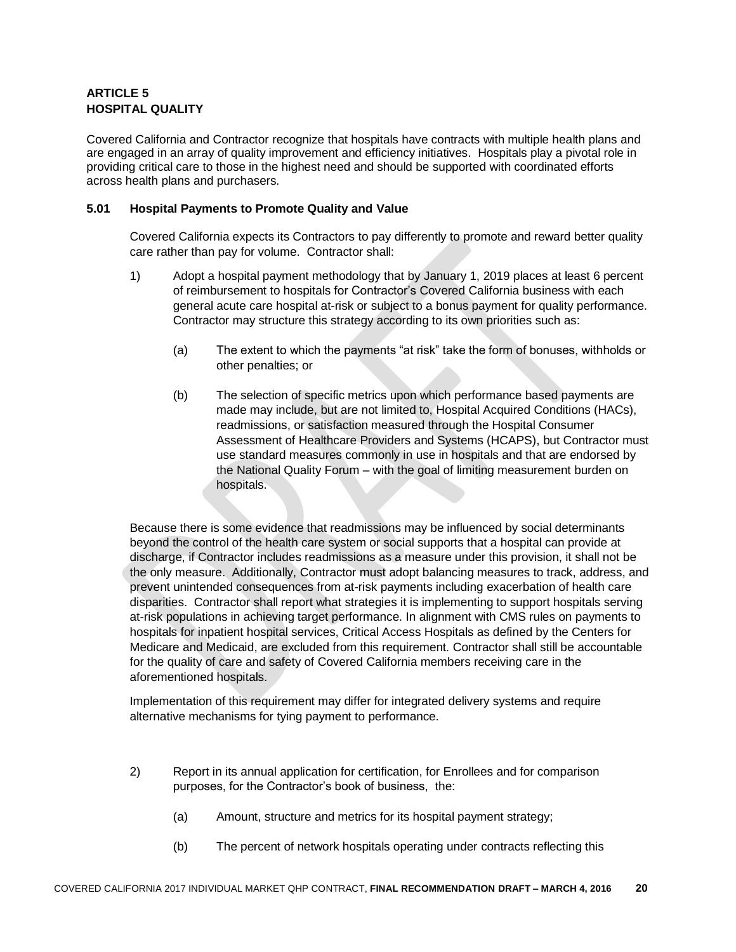### **ARTICLE 5 HOSPITAL QUALITY**

Covered California and Contractor recognize that hospitals have contracts with multiple health plans and are engaged in an array of quality improvement and efficiency initiatives. Hospitals play a pivotal role in providing critical care to those in the highest need and should be supported with coordinated efforts across health plans and purchasers.

#### **5.01 Hospital Payments to Promote Quality and Value**

Covered California expects its Contractors to pay differently to promote and reward better quality care rather than pay for volume. Contractor shall:

- 1) Adopt a hospital payment methodology that by January 1, 2019 places at least 6 percent of reimbursement to hospitals for Contractor's Covered California business with each general acute care hospital at-risk or subject to a bonus payment for quality performance. Contractor may structure this strategy according to its own priorities such as:
	- (a) The extent to which the payments "at risk" take the form of bonuses, withholds or other penalties; or
	- (b) The selection of specific metrics upon which performance based payments are made may include, but are not limited to, Hospital Acquired Conditions (HACs), readmissions, or satisfaction measured through the Hospital Consumer Assessment of Healthcare Providers and Systems (HCAPS), but Contractor must use standard measures commonly in use in hospitals and that are endorsed by the National Quality Forum – with the goal of limiting measurement burden on hospitals.

Because there is some evidence that readmissions may be influenced by social determinants beyond the control of the health care system or social supports that a hospital can provide at discharge, if Contractor includes readmissions as a measure under this provision, it shall not be the only measure. Additionally, Contractor must adopt balancing measures to track, address, and prevent unintended consequences from at-risk payments including exacerbation of health care disparities. Contractor shall report what strategies it is implementing to support hospitals serving at-risk populations in achieving target performance. In alignment with CMS rules on payments to hospitals for inpatient hospital services, Critical Access Hospitals as defined by the Centers for Medicare and Medicaid, are excluded from this requirement. Contractor shall still be accountable for the quality of care and safety of Covered California members receiving care in the aforementioned hospitals.

Implementation of this requirement may differ for integrated delivery systems and require alternative mechanisms for tying payment to performance.

- 2) Report in its annual application for certification, for Enrollees and for comparison purposes, for the Contractor's book of business, the:
	- (a) Amount, structure and metrics for its hospital payment strategy;
	- (b) The percent of network hospitals operating under contracts reflecting this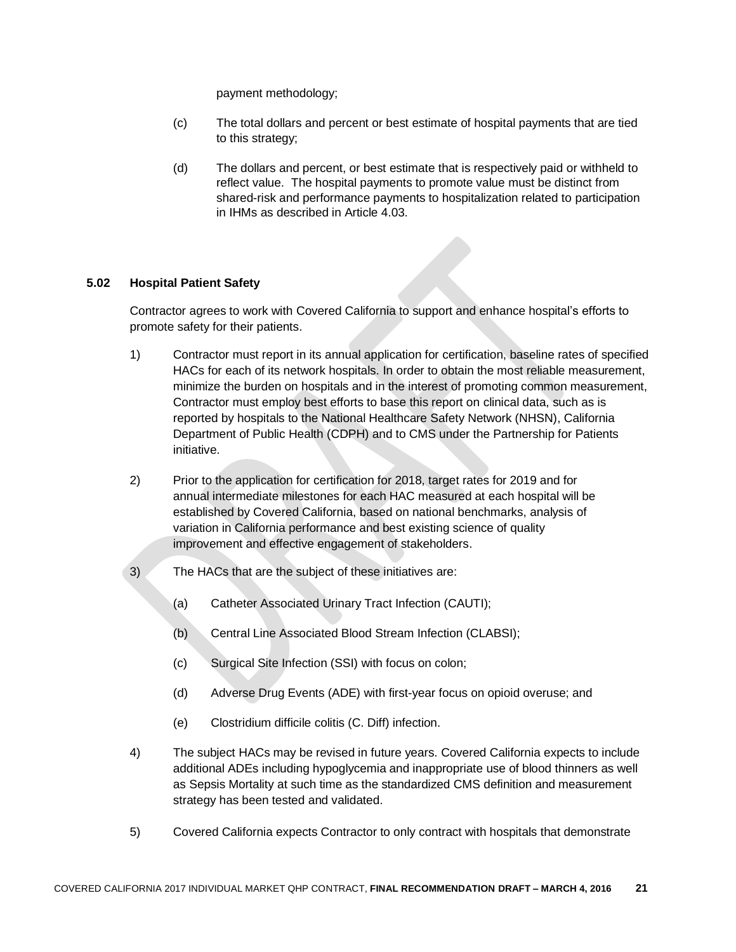payment methodology;

- (c) The total dollars and percent or best estimate of hospital payments that are tied to this strategy;
- (d) The dollars and percent, or best estimate that is respectively paid or withheld to reflect value. The hospital payments to promote value must be distinct from shared-risk and performance payments to hospitalization related to participation in IHMs as described in Article 4.03.

#### **5.02 Hospital Patient Safety**

Contractor agrees to work with Covered California to support and enhance hospital's efforts to promote safety for their patients.

- 1) Contractor must report in its annual application for certification, baseline rates of specified HACs for each of its network hospitals. In order to obtain the most reliable measurement, minimize the burden on hospitals and in the interest of promoting common measurement, Contractor must employ best efforts to base this report on clinical data, such as is reported by hospitals to the National Healthcare Safety Network (NHSN), California Department of Public Health (CDPH) and to CMS under the Partnership for Patients initiative.
- 2) Prior to the application for certification for 2018, target rates for 2019 and for annual intermediate milestones for each HAC measured at each hospital will be established by Covered California, based on national benchmarks, analysis of variation in California performance and best existing science of quality improvement and effective engagement of stakeholders.
- 3) The HACs that are the subject of these initiatives are:
	- (a) Catheter Associated Urinary Tract Infection (CAUTI);
	- (b) Central Line Associated Blood Stream Infection (CLABSI);
	- (c) Surgical Site Infection (SSI) with focus on colon;
	- (d) Adverse Drug Events (ADE) with first-year focus on opioid overuse; and
	- (e) Clostridium difficile [colitis](http://www.webmd.com/ibd-crohns-disease/ulcerative-colitis/default.htm) (C. Diff) infection.
- 4) The subject HACs may be revised in future years. Covered California expects to include additional ADEs including hypoglycemia and inappropriate use of blood thinners as well as Sepsis Mortality at such time as the standardized CMS definition and measurement strategy has been tested and validated.
- 5) Covered California expects Contractor to only contract with hospitals that demonstrate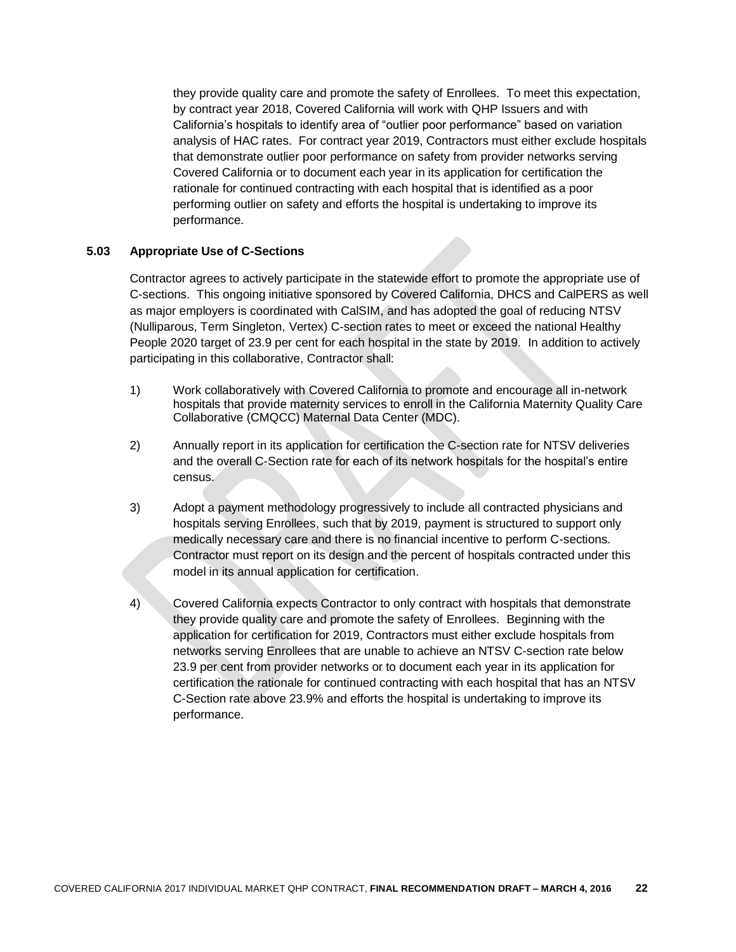they provide quality care and promote the safety of Enrollees. To meet this expectation, by contract year 2018, Covered California will work with QHP Issuers and with California's hospitals to identify area of "outlier poor performance" based on variation analysis of HAC rates. For contract year 2019, Contractors must either exclude hospitals that demonstrate outlier poor performance on safety from provider networks serving Covered California or to document each year in its application for certification the rationale for continued contracting with each hospital that is identified as a poor performing outlier on safety and efforts the hospital is undertaking to improve its performance.

#### **5.03 Appropriate Use of C-Sections**

Contractor agrees to actively participate in the statewide effort to promote the appropriate use of C-sections. This ongoing initiative sponsored by Covered California, DHCS and CalPERS as well as major employers is coordinated with CalSIM, and has adopted the goal of reducing NTSV (Nulliparous, Term Singleton, Vertex) C-section rates to meet or exceed the national Healthy People 2020 target of 23.9 per cent for each hospital in the state by 2019. In addition to actively participating in this collaborative, Contractor shall:

- 1) Work collaboratively with Covered California to promote and encourage all in-network hospitals that provide maternity services to enroll in the California Maternity Quality Care Collaborative (CMQCC) Maternal Data Center (MDC).
- 2) Annually report in its application for certification the C-section rate for NTSV deliveries and the overall C-Section rate for each of its network hospitals for the hospital's entire census.
- 3) Adopt a payment methodology progressively to include all contracted physicians and hospitals serving Enrollees, such that by 2019, payment is structured to support only medically necessary care and there is no financial incentive to perform C-sections. Contractor must report on its design and the percent of hospitals contracted under this model in its annual application for certification.
- 4) Covered California expects Contractor to only contract with hospitals that demonstrate they provide quality care and promote the safety of Enrollees. Beginning with the application for certification for 2019, Contractors must either exclude hospitals from networks serving Enrollees that are unable to achieve an NTSV C-section rate below 23.9 per cent from provider networks or to document each year in its application for certification the rationale for continued contracting with each hospital that has an NTSV C-Section rate above 23.9% and efforts the hospital is undertaking to improve its performance.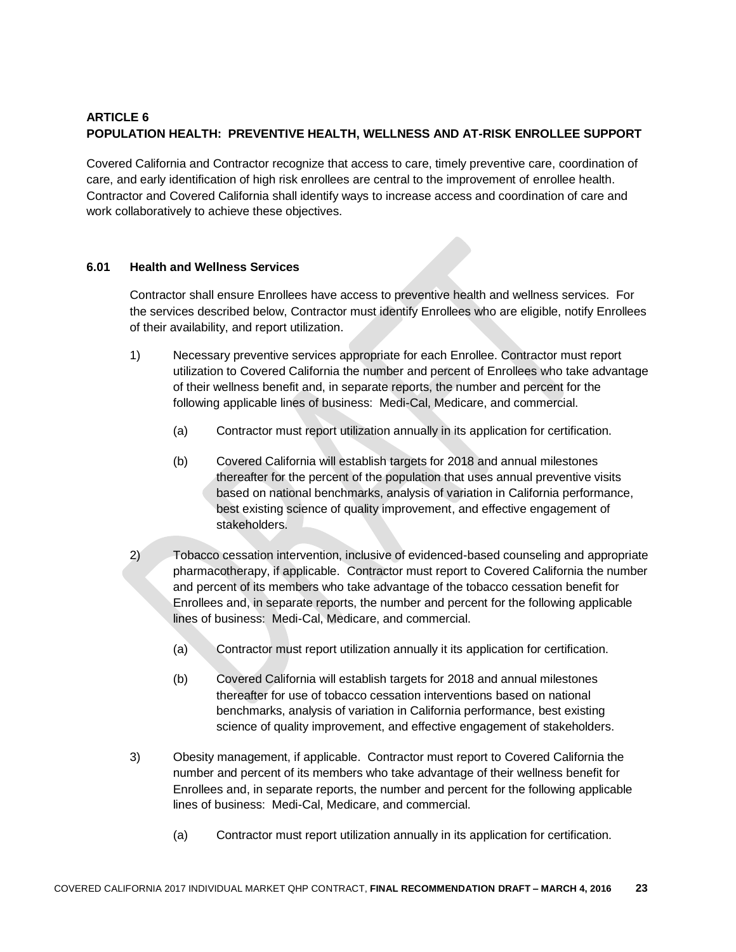### **ARTICLE 6 POPULATION HEALTH: PREVENTIVE HEALTH, WELLNESS AND AT-RISK ENROLLEE SUPPORT**

Covered California and Contractor recognize that access to care, timely preventive care, coordination of care, and early identification of high risk enrollees are central to the improvement of enrollee health. Contractor and Covered California shall identify ways to increase access and coordination of care and work collaboratively to achieve these objectives.

#### **6.01 Health and Wellness Services**

Contractor shall ensure Enrollees have access to preventive health and wellness services. For the services described below, Contractor must identify Enrollees who are eligible, notify Enrollees of their availability, and report utilization.

- 1) Necessary preventive services appropriate for each Enrollee. Contractor must report utilization to Covered California the number and percent of Enrollees who take advantage of their wellness benefit and, in separate reports, the number and percent for the following applicable lines of business: Medi-Cal, Medicare, and commercial.
	- (a) Contractor must report utilization annually in its application for certification.
	- (b) Covered California will establish targets for 2018 and annual milestones thereafter for the percent of the population that uses annual preventive visits based on national benchmarks, analysis of variation in California performance, best existing science of quality improvement, and effective engagement of stakeholders.
- 2) Tobacco cessation intervention, inclusive of evidenced-based counseling and appropriate pharmacotherapy, if applicable. Contractor must report to Covered California the number and percent of its members who take advantage of the tobacco cessation benefit for Enrollees and, in separate reports, the number and percent for the following applicable lines of business: Medi-Cal, Medicare, and commercial.
	- (a) Contractor must report utilization annually it its application for certification.
	- (b) Covered California will establish targets for 2018 and annual milestones thereafter for use of tobacco cessation interventions based on national benchmarks, analysis of variation in California performance, best existing science of quality improvement, and effective engagement of stakeholders.
- 3) Obesity management, if applicable. Contractor must report to Covered California the number and percent of its members who take advantage of their wellness benefit for Enrollees and, in separate reports, the number and percent for the following applicable lines of business: Medi-Cal, Medicare, and commercial.
	- (a) Contractor must report utilization annually in its application for certification.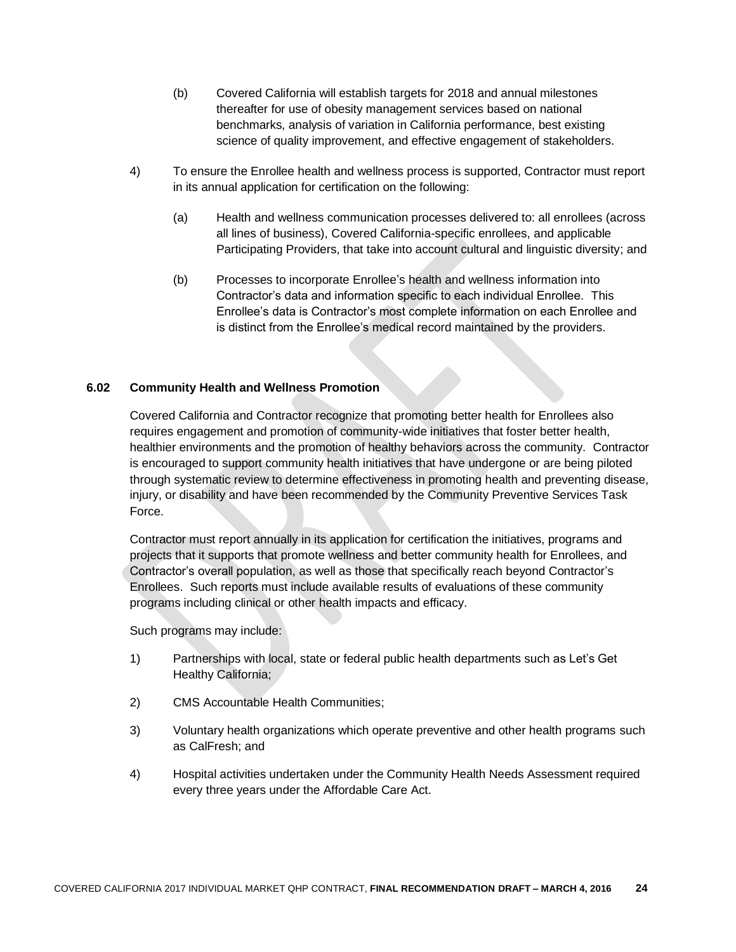- (b) Covered California will establish targets for 2018 and annual milestones thereafter for use of obesity management services based on national benchmarks, analysis of variation in California performance, best existing science of quality improvement, and effective engagement of stakeholders.
- 4) To ensure the Enrollee health and wellness process is supported, Contractor must report in its annual application for certification on the following:
	- (a) Health and wellness communication processes delivered to: all enrollees (across all lines of business), Covered California-specific enrollees, and applicable Participating Providers, that take into account cultural and linguistic diversity; and
	- (b) Processes to incorporate Enrollee's health and wellness information into Contractor's data and information specific to each individual Enrollee. This Enrollee's data is Contractor's most complete information on each Enrollee and is distinct from the Enrollee's medical record maintained by the providers.

#### **6.02 Community Health and Wellness Promotion**

Covered California and Contractor recognize that promoting better health for Enrollees also requires engagement and promotion of community-wide initiatives that foster better health, healthier environments and the promotion of healthy behaviors across the community. Contractor is encouraged to support community health initiatives that have undergone or are being piloted through systematic review to determine effectiveness in promoting health and preventing disease, injury, or disability and have been recommended by the Community Preventive Services Task Force.

Contractor must report annually in its application for certification the initiatives, programs and projects that it supports that promote wellness and better community health for Enrollees, and Contractor's overall population, as well as those that specifically reach beyond Contractor's Enrollees. Such reports must include available results of evaluations of these community programs including clinical or other health impacts and efficacy.

Such programs may include:

- 1) Partnerships with local, state or federal public health departments such as Let's Get Healthy California;
- 2) CMS Accountable Health Communities;
- 3) Voluntary health organizations which operate preventive and other health programs such as CalFresh; and
- 4) Hospital activities undertaken under the Community Health Needs Assessment required every three years under the Affordable Care Act.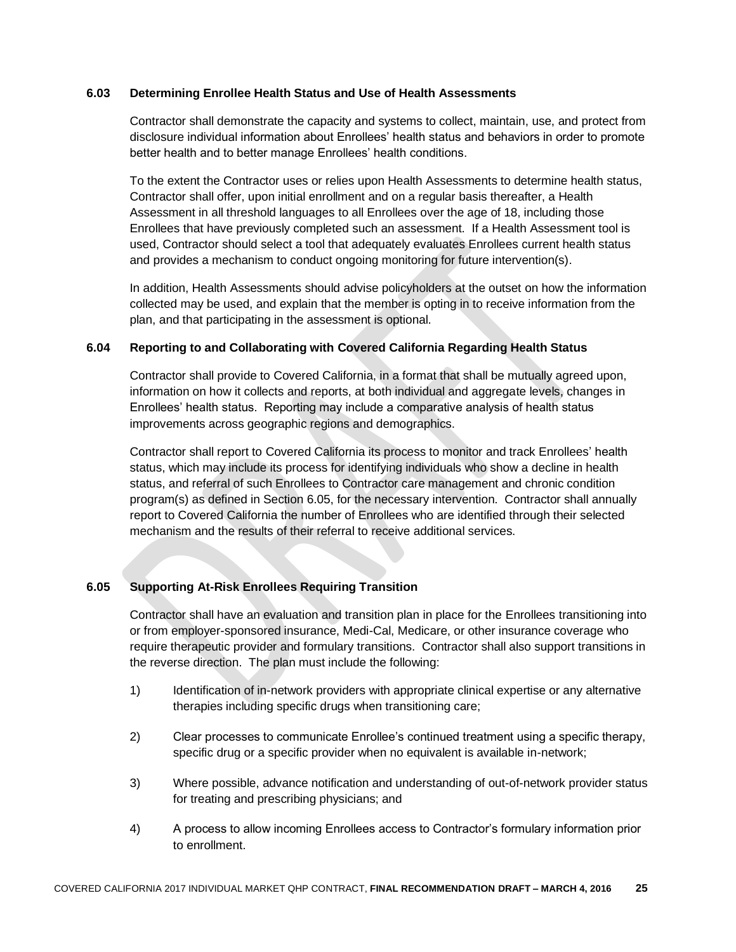#### **6.03 Determining Enrollee Health Status and Use of Health Assessments**

Contractor shall demonstrate the capacity and systems to collect, maintain, use, and protect from disclosure individual information about Enrollees' health status and behaviors in order to promote better health and to better manage Enrollees' health conditions.

To the extent the Contractor uses or relies upon Health Assessments to determine health status, Contractor shall offer, upon initial enrollment and on a regular basis thereafter, a Health Assessment in all threshold languages to all Enrollees over the age of 18, including those Enrollees that have previously completed such an assessment. If a Health Assessment tool is used, Contractor should select a tool that adequately evaluates Enrollees current health status and provides a mechanism to conduct ongoing monitoring for future intervention(s).

In addition, Health Assessments should advise policyholders at the outset on how the information collected may be used, and explain that the member is opting in to receive information from the plan, and that participating in the assessment is optional.

#### **6.04 Reporting to and Collaborating with Covered California Regarding Health Status**

Contractor shall provide to Covered California, in a format that shall be mutually agreed upon, information on how it collects and reports, at both individual and aggregate levels, changes in Enrollees' health status. Reporting may include a comparative analysis of health status improvements across geographic regions and demographics.

Contractor shall report to Covered California its process to monitor and track Enrollees' health status, which may include its process for identifying individuals who show a decline in health status, and referral of such Enrollees to Contractor care management and chronic condition program(s) as defined in Section 6.05, for the necessary intervention. Contractor shall annually report to Covered California the number of Enrollees who are identified through their selected mechanism and the results of their referral to receive additional services.

#### **6.05 Supporting At-Risk Enrollees Requiring Transition**

Contractor shall have an evaluation and transition plan in place for the Enrollees transitioning into or from employer-sponsored insurance, Medi-Cal, Medicare, or other insurance coverage who require therapeutic provider and formulary transitions. Contractor shall also support transitions in the reverse direction. The plan must include the following:

- 1) Identification of in-network providers with appropriate clinical expertise or any alternative therapies including specific drugs when transitioning care;
- 2) Clear processes to communicate Enrollee's continued treatment using a specific therapy, specific drug or a specific provider when no equivalent is available in-network;
- 3) Where possible, advance notification and understanding of out-of-network provider status for treating and prescribing physicians; and
- 4) A process to allow incoming Enrollees access to Contractor's formulary information prior to enrollment.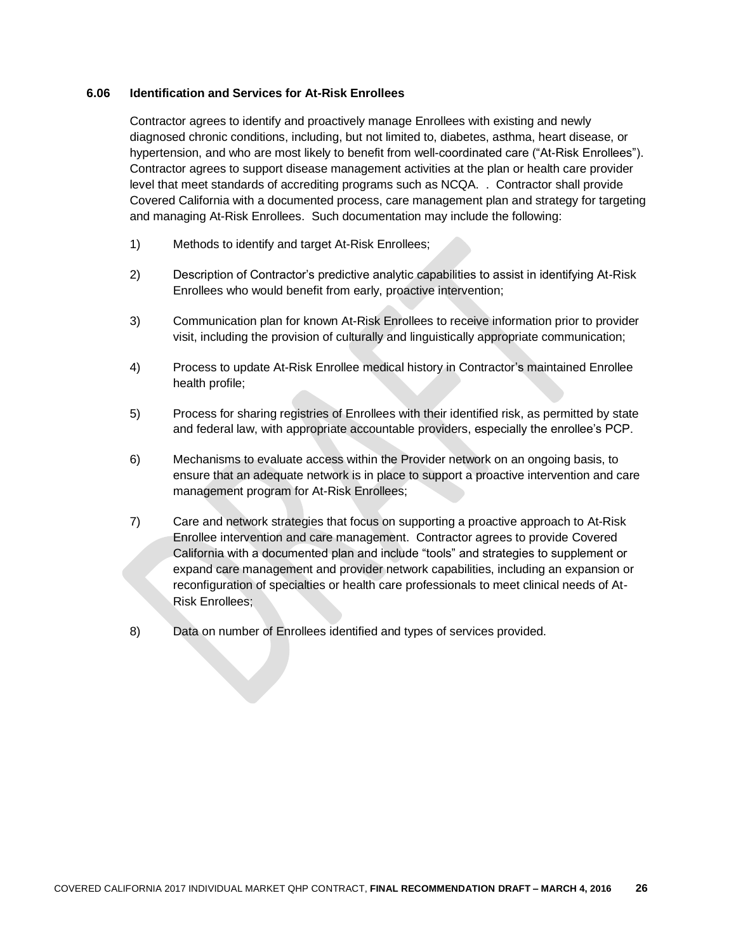#### **6.06 Identification and Services for At-Risk Enrollees**

Contractor agrees to identify and proactively manage Enrollees with existing and newly diagnosed chronic conditions, including, but not limited to, diabetes, asthma, heart disease, or hypertension, and who are most likely to benefit from well-coordinated care ("At-Risk Enrollees"). Contractor agrees to support disease management activities at the plan or health care provider level that meet standards of accrediting programs such as NCQA. . Contractor shall provide Covered California with a documented process, care management plan and strategy for targeting and managing At-Risk Enrollees. Such documentation may include the following:

- 1) Methods to identify and target At-Risk Enrollees;
- 2) Description of Contractor's predictive analytic capabilities to assist in identifying At-Risk Enrollees who would benefit from early, proactive intervention;
- 3) Communication plan for known At-Risk Enrollees to receive information prior to provider visit, including the provision of culturally and linguistically appropriate communication;
- 4) Process to update At-Risk Enrollee medical history in Contractor's maintained Enrollee health profile;
- 5) Process for sharing registries of Enrollees with their identified risk, as permitted by state and federal law, with appropriate accountable providers, especially the enrollee's PCP.
- 6) Mechanisms to evaluate access within the Provider network on an ongoing basis, to ensure that an adequate network is in place to support a proactive intervention and care management program for At-Risk Enrollees;
- 7) Care and network strategies that focus on supporting a proactive approach to At-Risk Enrollee intervention and care management. Contractor agrees to provide Covered California with a documented plan and include "tools" and strategies to supplement or expand care management and provider network capabilities, including an expansion or reconfiguration of specialties or health care professionals to meet clinical needs of At-Risk Enrollees;
- 8) Data on number of Enrollees identified and types of services provided.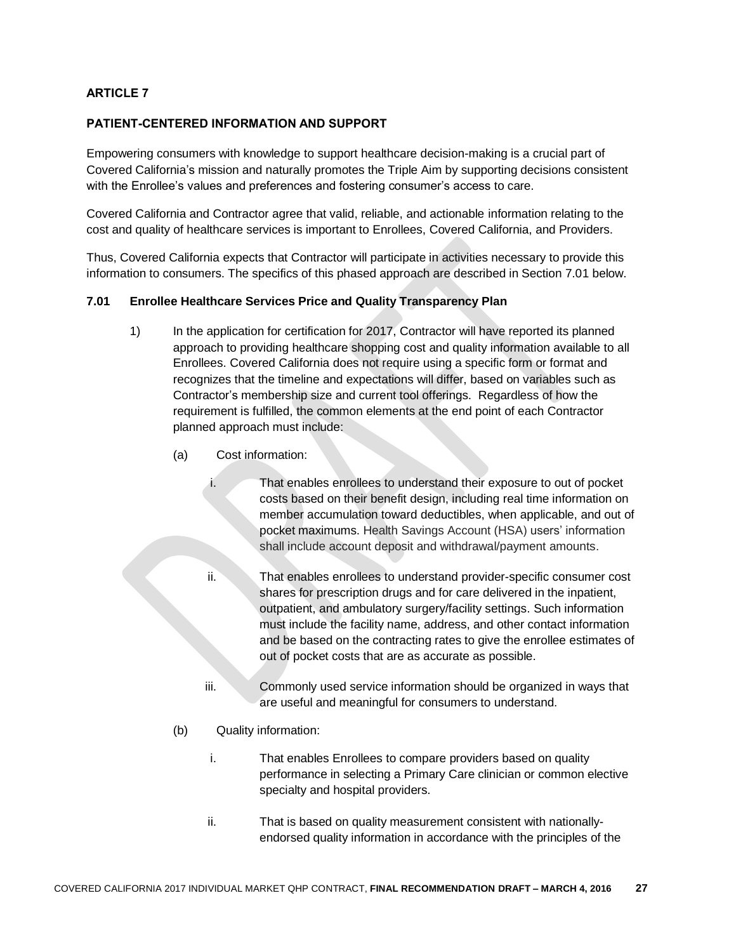### **ARTICLE 7**

#### **PATIENT-CENTERED INFORMATION AND SUPPORT**

Empowering consumers with knowledge to support healthcare decision-making is a crucial part of Covered California's mission and naturally promotes the Triple Aim by supporting decisions consistent with the Enrollee's values and preferences and fostering consumer's access to care.

Covered California and Contractor agree that valid, reliable, and actionable information relating to the cost and quality of healthcare services is important to Enrollees, Covered California, and Providers.

Thus, Covered California expects that Contractor will participate in activities necessary to provide this information to consumers. The specifics of this phased approach are described in Section 7.01 below.

#### **7.01 Enrollee Healthcare Services Price and Quality Transparency Plan**

- 1) In the application for certification for 2017, Contractor will have reported its planned approach to providing healthcare shopping cost and quality information available to all Enrollees. Covered California does not require using a specific form or format and recognizes that the timeline and expectations will differ, based on variables such as Contractor's membership size and current tool offerings. Regardless of how the requirement is fulfilled, the common elements at the end point of each Contractor planned approach must include:
	- (a) Cost information:
		- i. That enables enrollees to understand their exposure to out of pocket costs based on their benefit design, including real time information on member accumulation toward deductibles, when applicable, and out of pocket maximums. Health Savings Account (HSA) users' information shall include account deposit and withdrawal/payment amounts.
		- ii. That enables enrollees to understand provider-specific consumer cost shares for prescription drugs and for care delivered in the inpatient, outpatient, and ambulatory surgery/facility settings. Such information must include the facility name, address, and other contact information and be based on the contracting rates to give the enrollee estimates of out of pocket costs that are as accurate as possible.
		- iii. Commonly used service information should be organized in ways that are useful and meaningful for consumers to understand.
	- (b) Quality information:
		- i. That enables Enrollees to compare providers based on quality performance in selecting a Primary Care clinician or common elective specialty and hospital providers.
		- ii. That is based on quality measurement consistent with nationallyendorsed quality information in accordance with the principles of the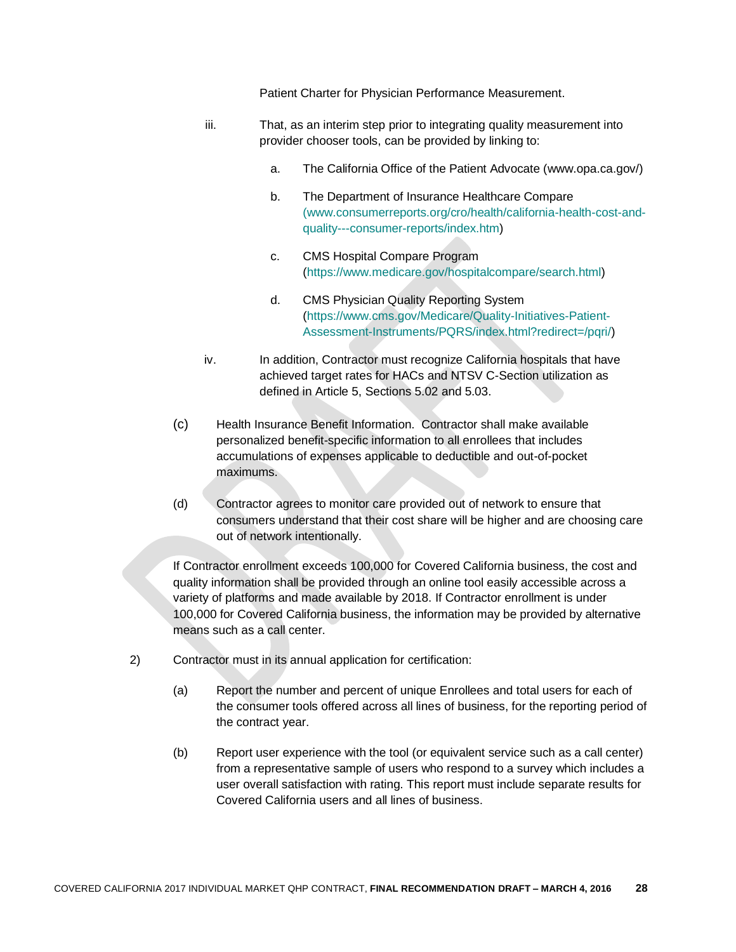Patient Charter for Physician Performance Measurement.

- iii. That, as an interim step prior to integrating quality measurement into provider chooser tools, can be provided by linking to:
	- a. The California Office of the Patient Advocate (www.opa.ca.gov/)
	- b. The Department of Insurance Healthcare Compare [\(www.consumerreports.org/cro/health/california-health-cost-and](http://(www.consumerreports.org/cro/health/california-health-cost-and-quality---consumer-reports/index.htm)[quality---consumer-reports/index.htm\)](http://(www.consumerreports.org/cro/health/california-health-cost-and-quality---consumer-reports/index.htm)
	- c. CMS Hospital Compare Program [\(https://www.medicare.gov/hospitalcompare/search.html\)](https://www.medicare.gov/hospitalcompare/search.html)
	- d. CMS Physician Quality Reporting System [\(https://www.cms.gov/Medicare/Quality-Initiatives-Patient-](https://www.cms.gov/Medicare/Quality-Initiatives-Patient-Assessment-Instruments/PQRS/index.html?redirect=/pqri/)[Assessment-Instruments/PQRS/index.html?redirect=/pqri/\)](https://www.cms.gov/Medicare/Quality-Initiatives-Patient-Assessment-Instruments/PQRS/index.html?redirect=/pqri/)
- iv. In addition, Contractor must recognize California hospitals that have achieved target rates for HACs and NTSV C-Section utilization as defined in Article 5, Sections 5.02 and 5.03.
- (c) Health Insurance Benefit Information. Contractor shall make available personalized benefit-specific information to all enrollees that includes accumulations of expenses applicable to deductible and out-of-pocket maximums.
- (d) Contractor agrees to monitor care provided out of network to ensure that consumers understand that their cost share will be higher and are choosing care out of network intentionally.

If Contractor enrollment exceeds 100,000 for Covered California business, the cost and quality information shall be provided through an online tool easily accessible across a variety of platforms and made available by 2018. If Contractor enrollment is under 100,000 for Covered California business, the information may be provided by alternative means such as a call center.

- 2) Contractor must in its annual application for certification:
	- (a) Report the number and percent of unique Enrollees and total users for each of the consumer tools offered across all lines of business, for the reporting period of the contract year.
	- (b) Report user experience with the tool (or equivalent service such as a call center) from a representative sample of users who respond to a survey which includes a user overall satisfaction with rating. This report must include separate results for Covered California users and all lines of business.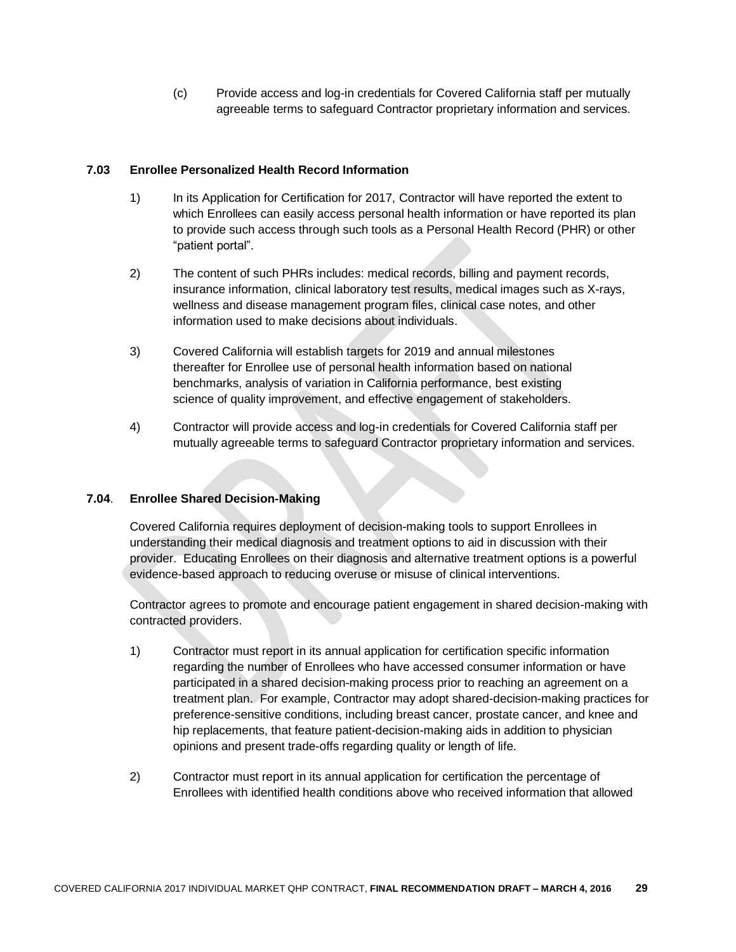(c) Provide access and log-in credentials for Covered California staff per mutually agreeable terms to safeguard Contractor proprietary information and services.

#### **7.03 Enrollee Personalized Health Record Information**

- 1) In its Application for Certification for 2017, Contractor will have reported the extent to which Enrollees can easily access personal health information or have reported its plan to provide such access through such tools as a Personal Health Record (PHR) or other "patient portal".
- 2) The content of such PHRs includes: medical records, billing and payment records, insurance information, clinical laboratory test results, medical images such as X-rays, wellness and disease management program files, clinical case notes, and other information used to make decisions about individuals.
- 3) Covered California will establish targets for 2019 and annual milestones thereafter for Enrollee use of personal health information based on national benchmarks, analysis of variation in California performance, best existing science of quality improvement, and effective engagement of stakeholders.
- 4) Contractor will provide access and log-in credentials for Covered California staff per mutually agreeable terms to safeguard Contractor proprietary information and services.

#### **7.04**. **Enrollee Shared Decision-Making**

Covered California requires deployment of decision-making tools to support Enrollees in understanding their medical diagnosis and treatment options to aid in discussion with their provider. Educating Enrollees on their diagnosis and alternative treatment options is a powerful evidence-based approach to reducing overuse or misuse of clinical interventions.

Contractor agrees to promote and encourage patient engagement in shared decision-making with contracted providers.

- 1) Contractor must report in its annual application for certification specific information regarding the number of Enrollees who have accessed consumer information or have participated in a shared decision-making process prior to reaching an agreement on a treatment plan. For example, Contractor may adopt shared-decision-making practices for preference-sensitive conditions, including breast cancer, prostate cancer, and knee and hip replacements, that feature patient-decision-making aids in addition to physician opinions and present trade-offs regarding quality or length of life.
- 2) Contractor must report in its annual application for certification the percentage of Enrollees with identified health conditions above who received information that allowed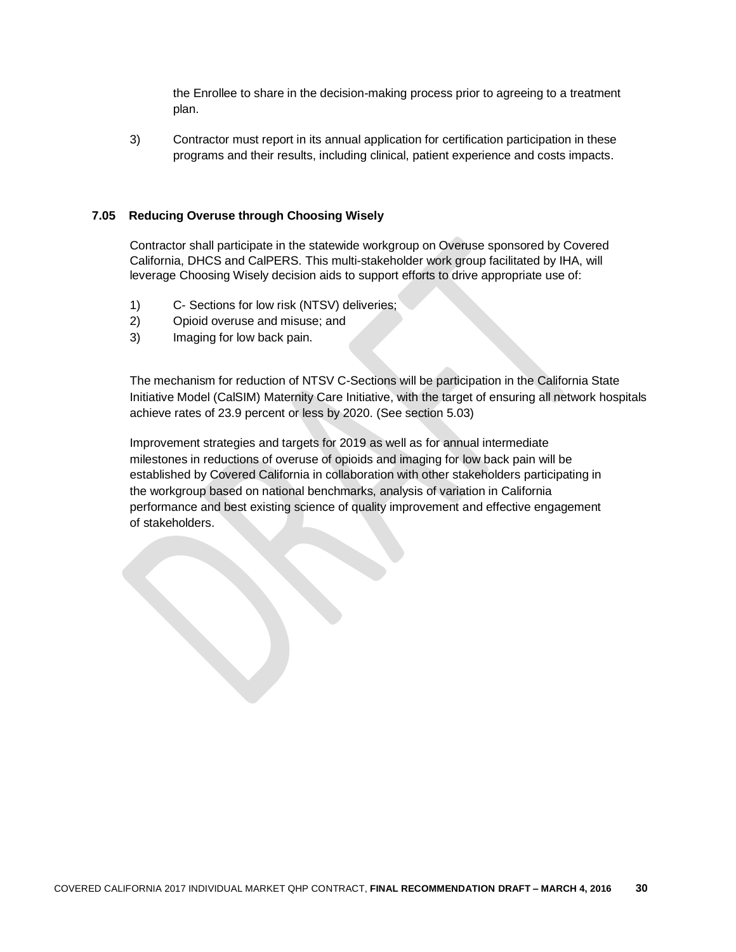the Enrollee to share in the decision-making process prior to agreeing to a treatment plan.

3) Contractor must report in its annual application for certification participation in these programs and their results, including clinical, patient experience and costs impacts.

#### **7.05 Reducing Overuse through Choosing Wisely**

Contractor shall participate in the statewide workgroup on Overuse sponsored by Covered California, DHCS and CalPERS. This multi-stakeholder work group facilitated by IHA, will leverage Choosing Wisely decision aids to support efforts to drive appropriate use of:

- 1) C- Sections for low risk (NTSV) deliveries;
- 2) Opioid overuse and misuse; and
- 3) Imaging for low back pain.

The mechanism for reduction of NTSV C-Sections will be participation in the California State Initiative Model (CalSIM) Maternity Care Initiative, with the target of ensuring all network hospitals achieve rates of 23.9 percent or less by 2020. (See section 5.03)

Improvement strategies and targets for 2019 as well as for annual intermediate milestones in reductions of overuse of opioids and imaging for low back pain will be established by Covered California in collaboration with other stakeholders participating in the workgroup based on national benchmarks, analysis of variation in California performance and best existing science of quality improvement and effective engagement of stakeholders.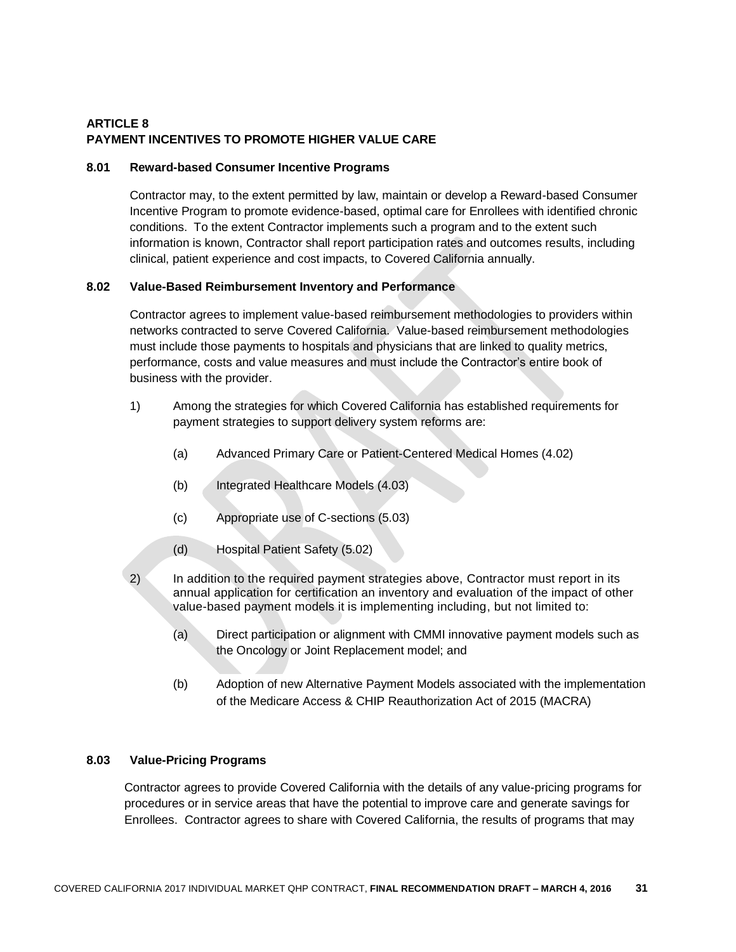# **ARTICLE 8 PAYMENT INCENTIVES TO PROMOTE HIGHER VALUE CARE**

#### **8.01 Reward-based Consumer Incentive Programs**

Contractor may, to the extent permitted by law, maintain or develop a Reward-based Consumer Incentive Program to promote evidence-based, optimal care for Enrollees with identified chronic conditions. To the extent Contractor implements such a program and to the extent such information is known, Contractor shall report participation rates and outcomes results, including clinical, patient experience and cost impacts, to Covered California annually.

#### **8.02 Value-Based Reimbursement Inventory and Performance**

Contractor agrees to implement value-based reimbursement methodologies to providers within networks contracted to serve Covered California. Value-based reimbursement methodologies must include those payments to hospitals and physicians that are linked to quality metrics, performance, costs and value measures and must include the Contractor's entire book of business with the provider.

- 1) Among the strategies for which Covered California has established requirements for payment strategies to support delivery system reforms are:
	- (a) Advanced Primary Care or Patient-Centered Medical Homes (4.02)
	- (b) Integrated Healthcare Models (4.03)
	- (c) Appropriate use of C-sections (5.03)
	- (d) Hospital Patient Safety (5.02)
- 2) In addition to the required payment strategies above, Contractor must report in its annual application for certification an inventory and evaluation of the impact of other value-based payment models it is implementing including, but not limited to:
	- (a) Direct participation or alignment with CMMI innovative payment models such as the Oncology or Joint Replacement model; and
	- (b) Adoption of new Alternative Payment Models associated with the implementation of the Medicare Access & [CHIP](http://www.insurekidsnow.gov/chip/index.html) Reauthorization Act of 2015 (MACRA)

### **8.03 Value-Pricing Programs**

Contractor agrees to provide Covered California with the details of any value-pricing programs for procedures or in service areas that have the potential to improve care and generate savings for Enrollees. Contractor agrees to share with Covered California, the results of programs that may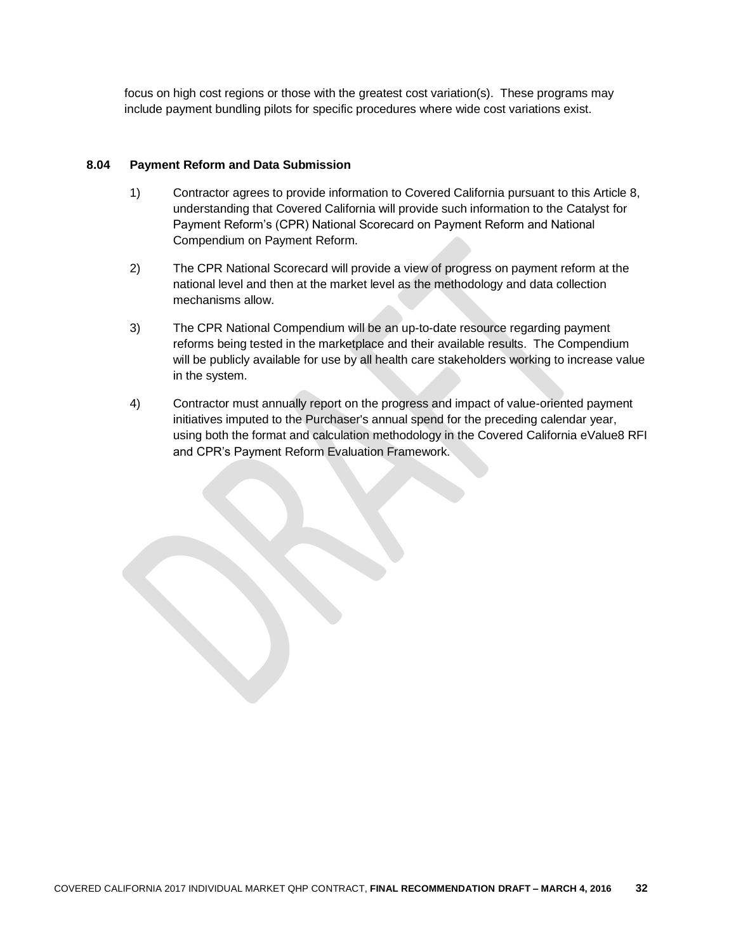focus on high cost regions or those with the greatest cost variation(s). These programs may include payment bundling pilots for specific procedures where wide cost variations exist.

#### **8.04 Payment Reform and Data Submission**

- 1) Contractor agrees to provide information to Covered California pursuant to this Article 8, understanding that Covered California will provide such information to the Catalyst for Payment Reform's (CPR) National Scorecard on Payment Reform and National Compendium on Payment Reform.
- 2) The CPR National Scorecard will provide a view of progress on payment reform at the national level and then at the market level as the methodology and data collection mechanisms allow.
- 3) The CPR National Compendium will be an up-to-date resource regarding payment reforms being tested in the marketplace and their available results. The Compendium will be publicly available for use by all health care stakeholders working to increase value in the system.
- 4) Contractor must annually report on the progress and impact of value-oriented payment initiatives imputed to the Purchaser's annual spend for the preceding calendar year, using both the format and calculation methodology in the Covered California eValue8 RFI and CPR's Payment Reform Evaluation Framework.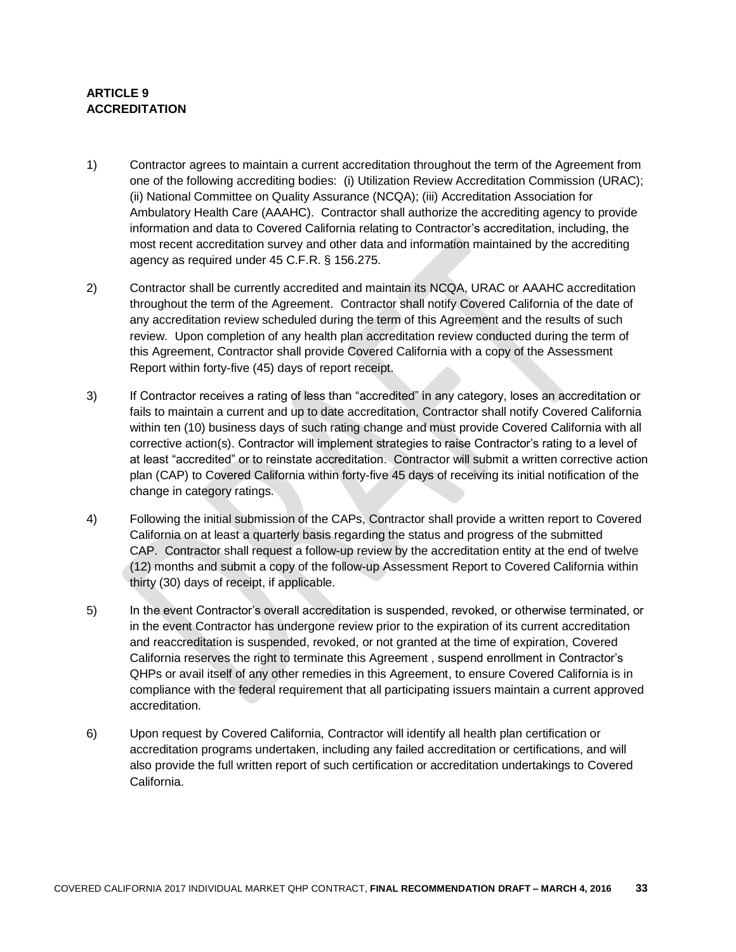# **ARTICLE 9 ACCREDITATION**

- 1) Contractor agrees to maintain a current accreditation throughout the term of the Agreement from one of the following accrediting bodies: (i) Utilization Review Accreditation Commission (URAC); (ii) National Committee on Quality Assurance (NCQA); (iii) Accreditation Association for Ambulatory Health Care (AAAHC). Contractor shall authorize the accrediting agency to provide information and data to Covered California relating to Contractor's accreditation, including, the most recent accreditation survey and other data and information maintained by the accrediting agency as required under 45 C.F.R. § 156.275.
- 2) Contractor shall be currently accredited and maintain its NCQA, URAC or AAAHC accreditation throughout the term of the Agreement. Contractor shall notify Covered California of the date of any accreditation review scheduled during the term of this Agreement and the results of such review. Upon completion of any health plan accreditation review conducted during the term of this Agreement, Contractor shall provide Covered California with a copy of the Assessment Report within forty-five (45) days of report receipt.
- 3) If Contractor receives a rating of less than "accredited" in any category, loses an accreditation or fails to maintain a current and up to date accreditation, Contractor shall notify Covered California within ten (10) business days of such rating change and must provide Covered California with all corrective action(s). Contractor will implement strategies to raise Contractor's rating to a level of at least "accredited" or to reinstate accreditation. Contractor will submit a written corrective action plan (CAP) to Covered California within forty-five 45 days of receiving its initial notification of the change in category ratings.
- 4) Following the initial submission of the CAPs, Contractor shall provide a written report to Covered California on at least a quarterly basis regarding the status and progress of the submitted CAP. Contractor shall request a follow-up review by the accreditation entity at the end of twelve (12) months and submit a copy of the follow-up Assessment Report to Covered California within thirty (30) days of receipt, if applicable.
- 5) In the event Contractor's overall accreditation is suspended, revoked, or otherwise terminated, or in the event Contractor has undergone review prior to the expiration of its current accreditation and reaccreditation is suspended, revoked, or not granted at the time of expiration, Covered California reserves the right to terminate this Agreement , suspend enrollment in Contractor's QHPs or avail itself of any other remedies in this Agreement, to ensure Covered California is in compliance with the federal requirement that all participating issuers maintain a current approved accreditation.
- 6) Upon request by Covered California, Contractor will identify all health plan certification or accreditation programs undertaken, including any failed accreditation or certifications, and will also provide the full written report of such certification or accreditation undertakings to Covered California.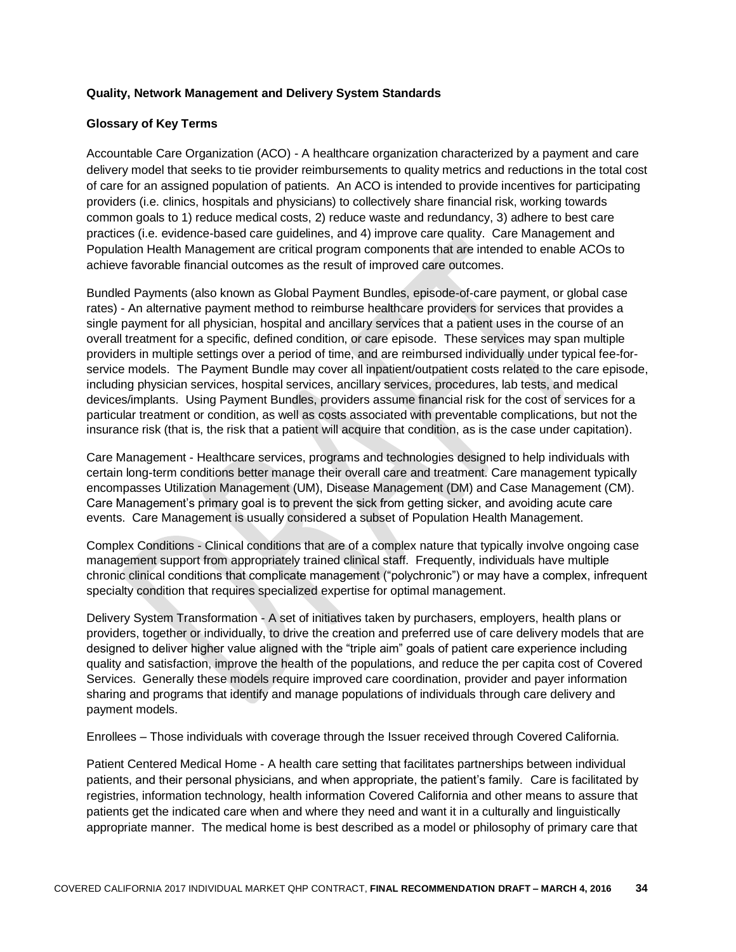#### **Quality, Network Management and Delivery System Standards**

#### **Glossary of Key Terms**

Accountable Care Organization (ACO) - A healthcare organization characterized by a payment and care delivery model that seeks to tie provider reimbursements to quality metrics and reductions in the total cost of care for an assigned population of patients. An ACO is intended to provide incentives for participating providers (i.e. clinics, hospitals and physicians) to collectively share financial risk, working towards common goals to 1) reduce medical costs, 2) reduce waste and redundancy, 3) adhere to best care practices (i.e. evidence-based care guidelines, and 4) improve care quality. Care Management and Population Health Management are critical program components that are intended to enable ACOs to achieve favorable financial outcomes as the result of improved care outcomes.

Bundled Payments (also known as Global Payment Bundles, episode-of-care payment, or global case rates) - An alternative payment method to reimburse healthcare providers for services that provides a single payment for all physician, hospital and ancillary services that a patient uses in the course of an overall treatment for a specific, defined condition, or care episode. These services may span multiple providers in multiple settings over a period of time, and are reimbursed individually under typical fee-forservice models. The Payment Bundle may cover all inpatient/outpatient costs related to the care episode, including physician services, hospital services, ancillary services, procedures, lab tests, and medical devices/implants. Using Payment Bundles, providers assume financial risk for the cost of services for a particular treatment or condition, as well as costs associated with preventable complications, but not the insurance risk (that is, the risk that a patient will acquire that condition, as is the case under capitation).

Care Management - Healthcare services, programs and technologies designed to help individuals with certain long-term conditions better manage their overall care and treatment. Care management typically encompasses Utilization Management (UM), Disease Management (DM) and Case Management (CM). Care Management's primary goal is to prevent the sick from getting sicker, and avoiding acute care events. Care Management is usually considered a subset of Population Health Management.

Complex Conditions - Clinical conditions that are of a complex nature that typically involve ongoing case management support from appropriately trained clinical staff. Frequently, individuals have multiple chronic clinical conditions that complicate management ("polychronic") or may have a complex, infrequent specialty condition that requires specialized expertise for optimal management.

Delivery System Transformation - A set of initiatives taken by purchasers, employers, health plans or providers, together or individually, to drive the creation and preferred use of care delivery models that are designed to deliver higher value aligned with the "triple aim" goals of patient care experience including quality and satisfaction, improve the health of the populations, and reduce the per capita cost of Covered Services. Generally these models require improved care coordination, provider and payer information sharing and programs that identify and manage populations of individuals through care delivery and payment models.

Enrollees – Those individuals with coverage through the Issuer received through Covered California.

Patient Centered Medical Home - A health care setting that facilitates partnerships between individual patients, and their personal physicians, and when appropriate, the patient's family. Care is facilitated by registries, information technology, health information Covered California and other means to assure that patients get the indicated care when and where they need and want it in a culturally and linguistically appropriate manner. The medical home is best described as a model or philosophy of primary care that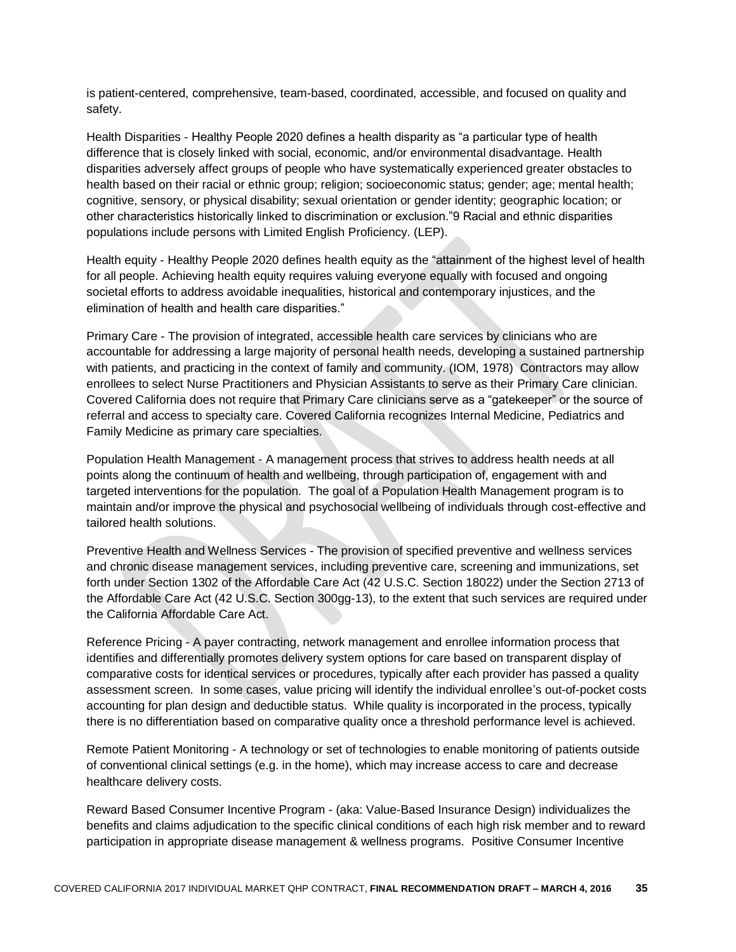is patient-centered, comprehensive, team-based, coordinated, accessible, and focused on quality and safety.

Health Disparities - Healthy People 2020 defines a health disparity as "a particular type of health difference that is closely linked with social, economic, and/or environmental disadvantage. Health disparities adversely affect groups of people who have systematically experienced greater obstacles to health based on their racial or ethnic group; religion; socioeconomic status; gender; age; mental health; cognitive, sensory, or physical disability; sexual orientation or gender identity; geographic location; or other characteristics historically linked to discrimination or exclusion."9 Racial and ethnic disparities populations include persons with Limited English Proficiency. (LEP).

Health equity - Healthy People 2020 defines health equity as the "attainment of the highest level of health for all people. Achieving health equity requires valuing everyone equally with focused and ongoing societal efforts to address avoidable inequalities, historical and contemporary injustices, and the elimination of health and health care disparities."

Primary Care - The provision of integrated, accessible health care services by clinicians who are accountable for addressing a large majority of personal health needs, developing a sustained partnership with patients, and practicing in the context of family and community. (IOM, 1978) Contractors may allow enrollees to select Nurse Practitioners and Physician Assistants to serve as their Primary Care clinician. Covered California does not require that Primary Care clinicians serve as a "gatekeeper" or the source of referral and access to specialty care. Covered California recognizes Internal Medicine, Pediatrics and Family Medicine as primary care specialties.

Population Health Management - A management process that strives to address health needs at all points along the continuum of health and wellbeing, through participation of, engagement with and targeted interventions for the population. The goal of a Population Health Management program is to maintain and/or improve the physical and psychosocial wellbeing of individuals through cost-effective and tailored health solutions.

Preventive Health and Wellness Services - The provision of specified preventive and wellness services and chronic disease management services, including preventive care, screening and immunizations, set forth under Section 1302 of the Affordable Care Act (42 U.S.C. Section 18022) under the Section 2713 of the Affordable Care Act (42 U.S.C. Section 300gg-13), to the extent that such services are required under the California Affordable Care Act.

Reference Pricing - A payer contracting, network management and enrollee information process that identifies and differentially promotes delivery system options for care based on transparent display of comparative costs for identical services or procedures, typically after each provider has passed a quality assessment screen. In some cases, value pricing will identify the individual enrollee's out-of-pocket costs accounting for plan design and deductible status. While quality is incorporated in the process, typically there is no differentiation based on comparative quality once a threshold performance level is achieved.

Remote Patient Monitoring - A technology or set of technologies to enable monitoring of patients outside of conventional clinical settings (e.g. in the home), which may increase access to care and decrease healthcare delivery costs.

Reward Based Consumer Incentive Program - (aka: Value-Based Insurance Design) individualizes the benefits and claims adjudication to the specific clinical conditions of each high risk member and to reward participation in appropriate disease management & wellness programs. Positive Consumer Incentive